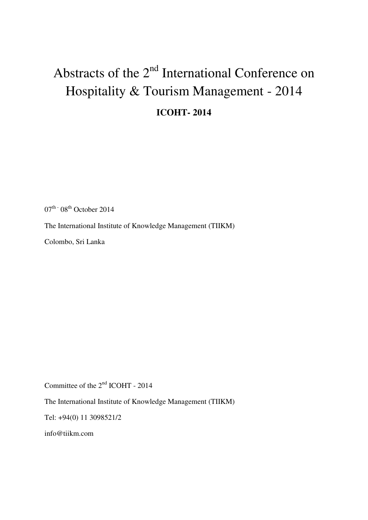# Abstracts of the  $2<sup>nd</sup>$  International Conference on Hospitality & Tourism Management - 2014 **ICOHT- 2014**

 $07^{\text{th}}$  -  $08^{\text{th}}$  October 2014

The International Institute of Knowledge Management (TIIKM)

Colombo, Sri Lanka

Committee of the 2<sup>nd</sup> ICOHT - 2014

The International Institute of Knowledge Management (TIIKM)

Tel: +94(0) 11 3098521/2

info@tiikm.com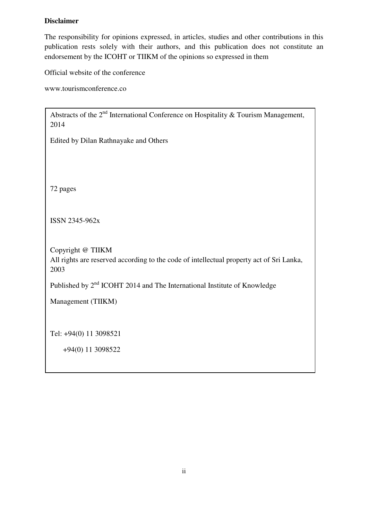### **Disclaimer**

The responsibility for opinions expressed, in articles, studies and other contributions in this publication rests solely with their authors, and this publication does not constitute an endorsement by the ICOHT or TIIKM of the opinions so expressed in them

Official website of the conference

www.tourismconference.co

Abstracts of the  $2<sup>nd</sup>$  International Conference on Hospitality & Tourism Management, 2014 Edited by Dilan Rathnayake and Others 72 pages ISSN 2345-962x Copyright @ TIIKM All rights are reserved according to the code of intellectual property act of Sri Lanka, 2003 Published by  $2<sup>nd</sup>$  ICOHT 2014 and The International Institute of Knowledge Management (TIIKM) Tel: +94(0) 11 3098521 +94(0) 11 3098522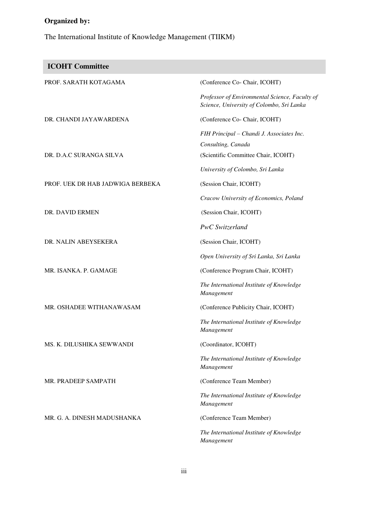# **Organized by:**

The International Institute of Knowledge Management (TIIKM)

| <b>ICOHT Committee</b>           |                                                                                             |  |  |
|----------------------------------|---------------------------------------------------------------------------------------------|--|--|
| PROF. SARATH KOTAGAMA            | (Conference Co- Chair, ICOHT)                                                               |  |  |
|                                  | Professor of Environmental Science, Faculty of<br>Science, University of Colombo, Sri Lanka |  |  |
| DR. CHANDI JAYAWARDENA           | (Conference Co- Chair, ICOHT)                                                               |  |  |
|                                  | FIH Principal - Chandi J. Associates Inc.<br>Consulting, Canada                             |  |  |
| DR. D.A.C SURANGA SILVA          | (Scientific Committee Chair, ICOHT)                                                         |  |  |
|                                  | University of Colombo, Sri Lanka                                                            |  |  |
| PROF. UEK DR HAB JADWIGA BERBEKA | (Session Chair, ICOHT)                                                                      |  |  |
|                                  | Cracow University of Economics, Poland                                                      |  |  |
| DR. DAVID ERMEN                  | (Session Chair, ICOHT)                                                                      |  |  |
|                                  | PwC Switzerland                                                                             |  |  |
| DR. NALIN ABEYSEKERA             | (Session Chair, ICOHT)                                                                      |  |  |
|                                  | Open University of Sri Lanka, Sri Lanka                                                     |  |  |
| MR. ISANKA. P. GAMAGE            | (Conference Program Chair, ICOHT)                                                           |  |  |
|                                  | The International Institute of Knowledge<br>Management                                      |  |  |
| MR. OSHADEE WITHANAWASAM         | (Conference Publicity Chair, ICOHT)                                                         |  |  |
|                                  | The International Institute of Knowledge<br>Management                                      |  |  |
| MS. K. DILUSHIKA SEWWANDI        | (Coordinator, ICOHT)                                                                        |  |  |
|                                  | The International Institute of Knowledge<br>Management                                      |  |  |
| MR. PRADEEP SAMPATH              | (Conference Team Member)                                                                    |  |  |
|                                  | The International Institute of Knowledge<br>Management                                      |  |  |
| MR. G. A. DINESH MADUSHANKA      | (Conference Team Member)                                                                    |  |  |
|                                  | The International Institute of Knowledge<br>Management                                      |  |  |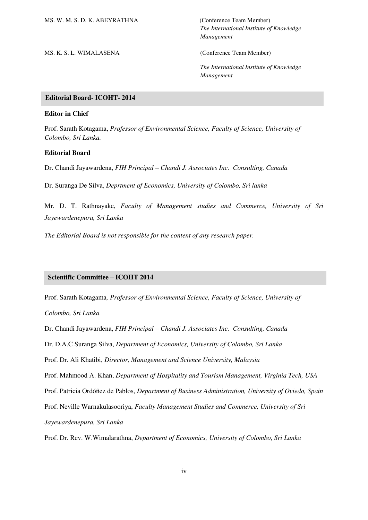MS. K. S. L. WIMALASENA (Conference Team Member)

 *The International Institute of Knowledge Management*

 *The International Institute of Knowledge Management* 

#### **Editorial Board-ICOM 2013 Editorial Board- ICOHT- 2014**

#### **Editor in Chief**

Prof. Sarath Kotagama, *Professor of Environmental Science, Faculty of Science, University of Colombo, Sri Lanka.* 

#### **Editorial Board**

Dr. Chandi Jayawardena, *FIH Principal – Chandi J. Associates Inc. Consulting, Canada*

Dr. Suranga De Silva, *Deprtment of Economics, University of Colombo, Sri lanka* 

Mr. D. T. Rathnayake, *Faculty of Management studies and Commerce, University of Sri Jayewardenepura, Sri Lanka*

*The Editorial Board is not responsible for the content of any research paper.* 

### **Prof. Oxygination Committee <b>– ICOHT 2014** *Committee <b>And Management, Ambrose Alli <i>Committee –* **ICOHT 2014**

Prof. Sarath Kotagama*, Professor of Environmental Science, Faculty of Science, University of Colombo, Sri Lanka* 

Dr. Chandi Jayawardena, *FIH Principal – Chandi J. Associates Inc. Consulting, Canada*

Dr. D.A.C Suranga Silva, *Department of Economics, University of Colombo, Sri Lanka*

Prof. Dr. Ali Khatibi, *Director, Management and Science University, Malaysia*

Prof. Mahmood A. Khan, *Department of Hospitality and Tourism Management, Virginia Tech, USA*

Prof. Patricia Ordóñez de Pablos, *Department of Business Administration, University of Oviedo, Spain* 

Prof. Neville Warnakulasooriya, *Faculty Management Studies and Commerce, University of Sri* 

*Jayewardenepura, Sri Lanka* 

Prof. Dr. Rev. W.Wimalarathna, *Department of Economics, University of Colombo, Sri Lanka*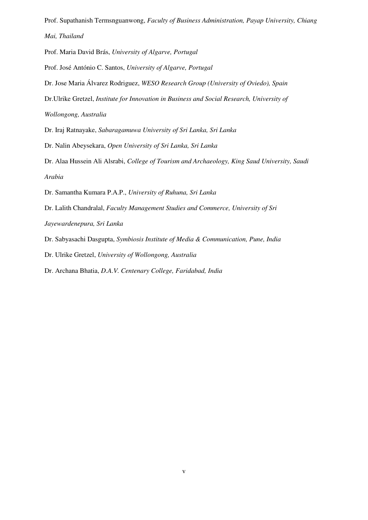Prof. Supathanish Termsnguanwong, *Faculty of Business Administration, Payap University, Chiang Mai, Thailand* 

Prof. Maria David Brás, *University of Algarve, Portugal*

Prof. José António C. Santos, *University of Algarve, Portugal* 

Dr. Jose Maria Álvarez Rodriguez, *WESO Research Group (University of Oviedo), Spain* 

Dr.Ulrike Gretzel, *Institute for Innovation in Business and Social Research, University of* 

*Wollongong, Australia* 

Dr. Iraj Ratnayake, *Sabaragamuwa University of Sri Lanka, Sri Lanka*

Dr. Nalin Abeysekara, *Open University of Sri Lanka, Sri Lanka*

Dr. Alaa Hussein Ali Alsrabi, *College of Tourism and Archaeology, King Saud University, Saudi Arabia*

Dr. Samantha Kumara P.A.P., *University of Ruhuna, Sri Lanka*

Dr. Lalith Chandralal, *Faculty Management Studies and Commerce, University of Sri* 

*Jayewardenepura, Sri Lanka* 

Dr. Sabyasachi Dasgupta, *Symbiosis Institute of Media & Communication, Pune, India* 

Dr. Ulrike Gretzel, *University of Wollongong, Australia* 

Dr. Archana Bhatia, *D.A.V. Centenary College, Faridabad, India*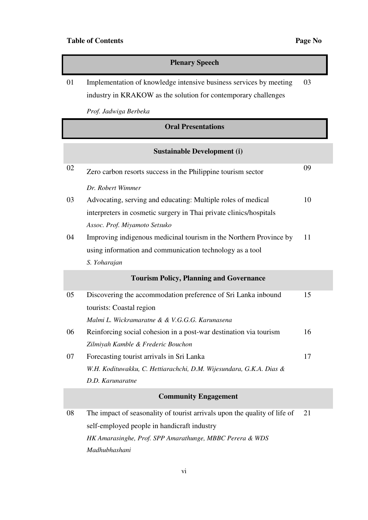|                                                | <b>Plenary Speech</b>                                              |    |  |
|------------------------------------------------|--------------------------------------------------------------------|----|--|
| 01                                             | Implementation of knowledge intensive business services by meeting | 03 |  |
|                                                | industry in KRAKOW as the solution for contemporary challenges     |    |  |
|                                                | Prof. Jadwiga Berbeka                                              |    |  |
|                                                | <b>Oral Presentations</b>                                          |    |  |
|                                                | <b>Sustainable Development (i)</b>                                 |    |  |
| 02                                             | Zero carbon resorts success in the Philippine tourism sector       | 09 |  |
|                                                | Dr. Robert Wimmer                                                  |    |  |
| 03                                             | Advocating, serving and educating: Multiple roles of medical       | 10 |  |
|                                                | interpreters in cosmetic surgery in Thai private clinics/hospitals |    |  |
|                                                | Assoc. Prof. Miyamoto Setsuko                                      |    |  |
| 04                                             | Improving indigenous medicinal tourism in the Northern Province by | 11 |  |
|                                                | using information and communication technology as a tool           |    |  |
|                                                | S. Yoharajan                                                       |    |  |
| <b>Tourism Policy, Planning and Governance</b> |                                                                    |    |  |
| 05                                             | Discovering the accommodation preference of Sri Lanka inbound      | 15 |  |
|                                                | tourists: Coastal region                                           |    |  |
|                                                | Malmi L. Wickramaratne & & V.G.G.G. Karunasena                     |    |  |
| 06                                             | Reinforcing social cohesion in a post-war destination via tourism  | 16 |  |

*Zilmiyah Kamble & Frederic Bouchon*  07 Forecasting tourist arrivals in Sri Lanka *W.H. Kodituwakku, C. Hettiarachchi, D.M. Wijesundara, G.K.A. Dias &*  17

*D.D. Karunaratne* 

### **Community Engagement**

08 The impact of seasonality of tourist arrivals upon the quality of life of self-employed people in handicraft industry *HK Amarasinghe, Prof. SPP Amarathunge, MBBC Perera & WDS Madhubhashani*  21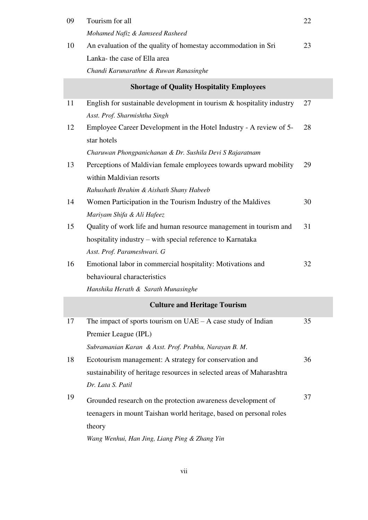| 09                                  | Tourism for all                                                                   | 22 |  |
|-------------------------------------|-----------------------------------------------------------------------------------|----|--|
|                                     | Mohamed Nafiz & Jamseed Rasheed                                                   |    |  |
| 10                                  | An evaluation of the quality of homestay accommodation in Sri                     | 23 |  |
|                                     | Lanka- the case of Ella area                                                      |    |  |
|                                     | Chandi Karunarathne & Ruwan Ranasinghe                                            |    |  |
|                                     | <b>Shortage of Quality Hospitality Employees</b>                                  |    |  |
| 11                                  | English for sustainable development in tourism $&$ hospitality industry           | 27 |  |
|                                     | Asst. Prof. Sharmishtha Singh                                                     |    |  |
| 12                                  | Employee Career Development in the Hotel Industry - A review of 5-<br>star hotels | 28 |  |
|                                     | Charuwan Phongpanichanan & Dr. Sushila Devi S Rajaratnam                          |    |  |
| 13                                  | Perceptions of Maldivian female employees towards upward mobility                 | 29 |  |
|                                     | within Maldivian resorts                                                          |    |  |
|                                     | Rahushath Ibrahim & Aishath Shany Habeeb                                          |    |  |
| 14                                  | Women Participation in the Tourism Industry of the Maldives                       | 30 |  |
|                                     | Mariyam Shifa & Ali Hafeez                                                        |    |  |
| 15                                  | Quality of work life and human resource management in tourism and                 | 31 |  |
|                                     | hospitality industry – with special reference to Karnataka                        |    |  |
|                                     | Asst. Prof. Parameshwari. G                                                       |    |  |
| 16                                  | Emotional labor in commercial hospitality: Motivations and                        | 32 |  |
|                                     | behavioural characteristics                                                       |    |  |
|                                     | Hanshika Herath & Sarath Munasinghe                                               |    |  |
| <b>Culture and Heritage Tourism</b> |                                                                                   |    |  |
| 17                                  | The impact of sports tourism on $UAE - A$ case study of Indian                    | 35 |  |
|                                     | Premier League (IPL)                                                              |    |  |
|                                     | Subramanian Karan & Asst. Prof. Prabhu, Narayan B. M.                             |    |  |
| 18                                  | Ecotourism management: A strategy for conservation and                            | 36 |  |
|                                     | sustainability of heritage resources in selected areas of Maharashtra             |    |  |
|                                     | Dr. Lata S. Patil                                                                 |    |  |
| 19                                  | Grounded research on the protection awareness development of                      | 37 |  |
|                                     | teenagers in mount Taishan world heritage, based on personal roles                |    |  |
|                                     | theory                                                                            |    |  |
|                                     | Wang Wenhui, Han Jing, Liang Ping & Zhang Yin                                     |    |  |
|                                     |                                                                                   |    |  |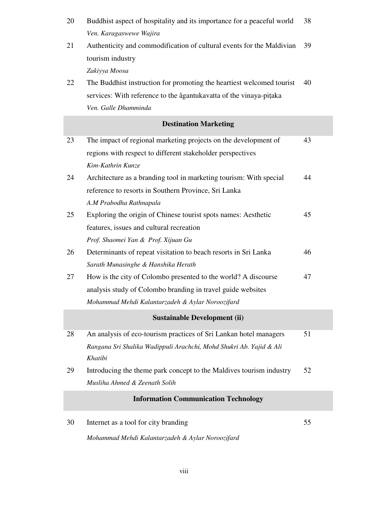| 20                                          | Buddhist aspect of hospitality and its importance for a peaceful world<br>Ven. Karagaswewe Wajira | 38 |  |
|---------------------------------------------|---------------------------------------------------------------------------------------------------|----|--|
| 21                                          | Authenticity and commodification of cultural events for the Maldivian                             | 39 |  |
|                                             | tourism industry                                                                                  |    |  |
|                                             | Zakiyya Moosa                                                                                     |    |  |
| 22                                          | The Buddhist instruction for promoting the heartiest welcomed tourist                             | 40 |  |
|                                             | services: With reference to the âgantukavatta of the vinaya-pitaka                                |    |  |
|                                             | Ven. Galle Dhamminda                                                                              |    |  |
|                                             | <b>Destination Marketing</b>                                                                      |    |  |
| 23                                          | The impact of regional marketing projects on the development of                                   | 43 |  |
|                                             | regions with respect to different stakeholder perspectives                                        |    |  |
|                                             | Kim-Kathrin Kunze                                                                                 |    |  |
| 24                                          | Architecture as a branding tool in marketing tourism: With special                                | 44 |  |
|                                             | reference to resorts in Southern Province, Sri Lanka                                              |    |  |
|                                             | A.M Prabodha Rathnapala                                                                           |    |  |
| 25                                          | Exploring the origin of Chinese tourist spots names: Aesthetic                                    | 45 |  |
|                                             | features, issues and cultural recreation                                                          |    |  |
|                                             | Prof. Shaomei Yan & Prof. Xijuan Gu                                                               |    |  |
| 26                                          | Determinants of repeat visitation to beach resorts in Sri Lanka                                   | 46 |  |
|                                             | Sarath Munasinghe & Hanshika Herath                                                               |    |  |
| 27                                          | How is the city of Colombo presented to the world? A discourse                                    | 47 |  |
|                                             | analysis study of Colombo branding in travel guide websites                                       |    |  |
|                                             | Mohammad Mehdi Kalantarzadeh & Aylar Noroozifard                                                  |    |  |
| <b>Sustainable Development (ii)</b>         |                                                                                                   |    |  |
| 28                                          | An analysis of eco-tourism practices of Sri Lankan hotel managers                                 | 51 |  |
|                                             | Rangana Sri Shalika Wadippuli Arachchi, Mohd Shukri Ab. Yajid & Ali                               |    |  |
|                                             | Khatibi                                                                                           |    |  |
| 29                                          | Introducing the theme park concept to the Maldives tourism industry                               | 52 |  |
|                                             | Musliha Ahmed & Zeenath Solih                                                                     |    |  |
| <b>Information Communication Technology</b> |                                                                                                   |    |  |
| 30                                          | Internet as a tool for city branding                                                              | 55 |  |
|                                             | Mohammad Mehdi Kalantarzadeh & Aylar Noroozifard                                                  |    |  |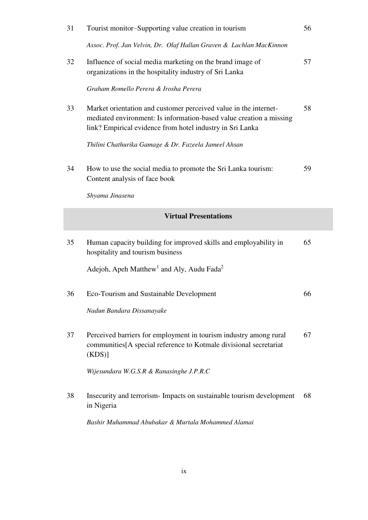| 31 | Tourist monitor-Supporting value creation in tourism                                                                                                                                                 | 56 |
|----|------------------------------------------------------------------------------------------------------------------------------------------------------------------------------------------------------|----|
|    | Assoc. Prof. Jan Velvin, Dr. Olaf Hallan Graven & Lachlan MacKinnon                                                                                                                                  |    |
| 32 | Influence of social media marketing on the brand image of<br>organizations in the hospitality industry of Sri Lanka                                                                                  | 57 |
|    | Graham Romello Perera & Irosha Perera                                                                                                                                                                |    |
| 33 | Market orientation and customer perceived value in the internet-<br>mediated environment: Is information-based value creation a missing<br>link? Empirical evidence from hotel industry in Sri Lanka | 58 |
|    | Thilini Chathurika Gamage & Dr. Fazeela Jameel Ahsan                                                                                                                                                 |    |
| 34 | How to use the social media to promote the Sri Lanka tourism:<br>Content analysis of face book                                                                                                       | 59 |
|    | Shyama Jinasena                                                                                                                                                                                      |    |
|    | <b>Virtual Presentations</b>                                                                                                                                                                         |    |
|    |                                                                                                                                                                                                      |    |
| 35 | Human capacity building for improved skills and employability in<br>hospitality and tourism business                                                                                                 | 65 |
|    | Adejoh, Apeh Matthew <sup>1</sup> and Aly, Audu Fada <sup>2</sup>                                                                                                                                    |    |
| 36 | Eco-Tourism and Sustainable Development                                                                                                                                                              | 66 |
|    | Nadun Bandara Dissanayake                                                                                                                                                                            |    |
| 37 | Perceived barriers for employment in tourism industry among rural<br>communities [A special reference to Kotmale divisional secretariat<br>$(KDS)$ ]                                                 | 67 |
|    | Wijesundara W.G.S.R & Ranasinghe J.P.R.C                                                                                                                                                             |    |
| 38 | Insecurity and terrorism-Impacts on sustainable tourism development<br>in Nigeria                                                                                                                    | 68 |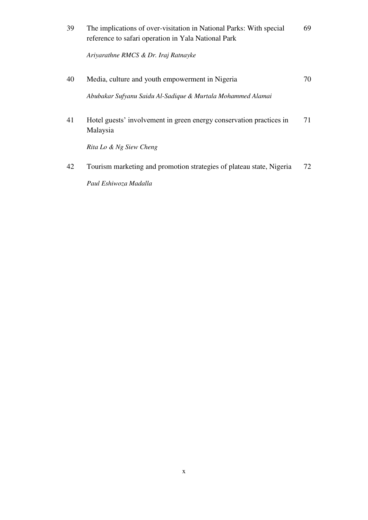| 39 | The implications of over-visitation in National Parks: With special<br>reference to safari operation in Yala National Park | 69 |
|----|----------------------------------------------------------------------------------------------------------------------------|----|
|    | Ariyarathne RMCS & Dr. Iraj Ratnayke                                                                                       |    |
| 40 | Media, culture and youth empowerment in Nigeria                                                                            | 70 |
|    | Abubakar Sufyanu Saidu Al-Sadique & Murtala Mohammed Alamai                                                                |    |
| 41 | Hotel guests' involvement in green energy conservation practices in<br>Malaysia                                            | 71 |
|    | Rita Lo & Ng Siew Cheng                                                                                                    |    |
| 42 | Tourism marketing and promotion strategies of plateau state, Nigeria                                                       | 72 |
|    | Paul Eshiwoza Madalla                                                                                                      |    |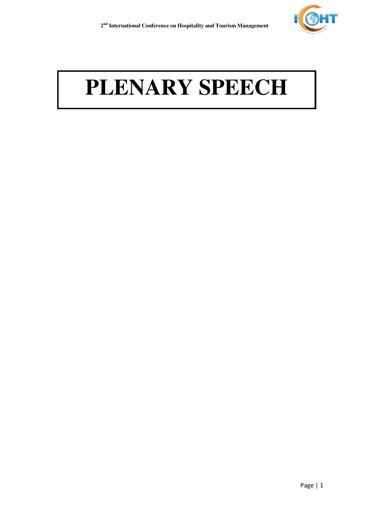

# **PLENARY SPEECH**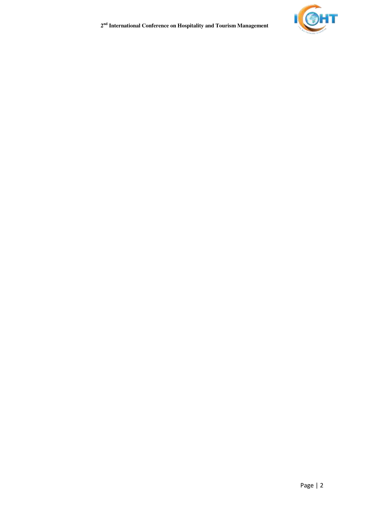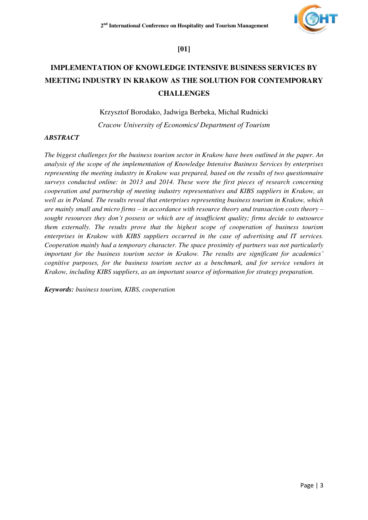

### **[01]**

## **IMPLEMENTATION OF KNOWLEDGE INTENSIVE BUSINESS SERVICES BY MEETING INDUSTRY IN KRAKOW AS THE SOLUTION FOR CONTEMPORARY CHALLENGES**

Krzysztof Borodako, Jadwiga Berbeka, Michal Rudnicki

*Cracow University of Economics/ Department of Tourism* 

### *ABSTRACT*

*The biggest challenges for the business tourism sector in Krakow have been outlined in the paper. An analysis of the scope of the implementation of Knowledge Intensive Business Services by enterprises representing the meeting industry in Krakow was prepared, based on the results of two questionnaire surveys conducted online: in 2013 and 2014. These were the first pieces of research concerning cooperation and partnership of meeting industry representatives and KIBS suppliers in Krakow, as well as in Poland. The results reveal that enterprises representing business tourism in Krakow, which are mainly small and micro firms – in accordance with resource theory and transaction costs theory – sought resources they don"t possess or which are of insufficient quality; firms decide to outsource them externally. The results prove that the highest scope of cooperation of business tourism enterprises in Krakow with KIBS suppliers occurred in the case of advertising and IT services. Cooperation mainly had a temporary character. The space proximity of partners was not particularly important for the business tourism sector in Krakow. The results are significant for academics" cognitive purposes, for the business tourism sector as a benchmark, and for service vendors in Krakow, including KIBS suppliers, as an important source of information for strategy preparation.*

*Keywords: business tourism, KIBS, cooperation*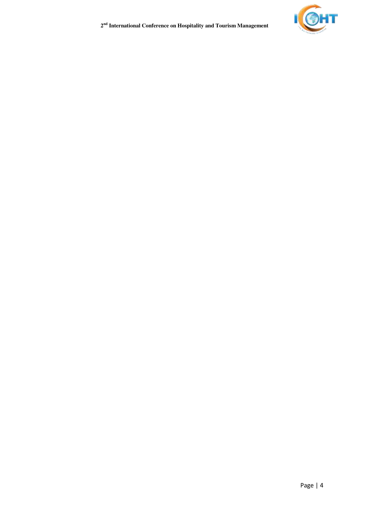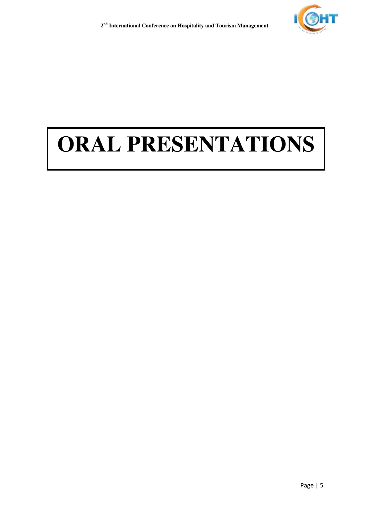

# **ORAL PRESENTATIONS**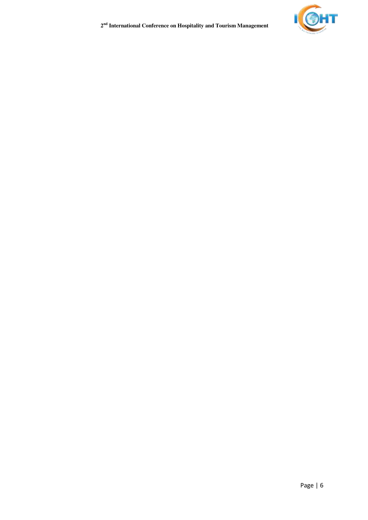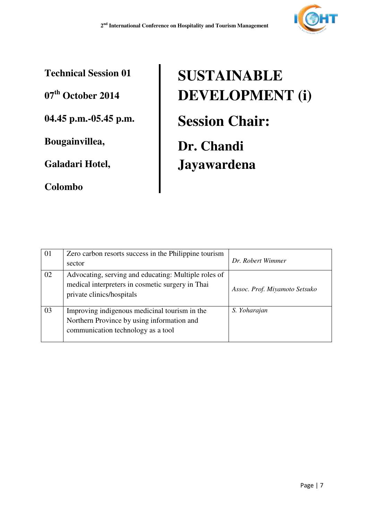

**Technical Session 01** 

**07th October 2014**

**04.45 p.m.-05.45 p.m.** 

**Bougainvillea,** 

**Galadari Hotel,** 

**Colombo** 

# **SUSTAINABLE DEVELOPMENT (i) Session Chair: Dr. Chandi Jayawardena**

| 01 | Zero carbon resorts success in the Philippine tourism<br>sector                                                                       | Dr. Robert Wimmer             |
|----|---------------------------------------------------------------------------------------------------------------------------------------|-------------------------------|
| 02 | Advocating, serving and educating: Multiple roles of<br>medical interpreters in cosmetic surgery in Thai<br>private clinics/hospitals | Assoc. Prof. Miyamoto Setsuko |
| 03 | Improving indigenous medicinal tourism in the<br>Northern Province by using information and<br>communication technology as a tool     | S. Yoharajan                  |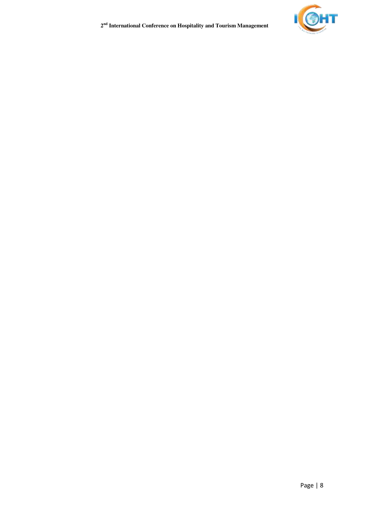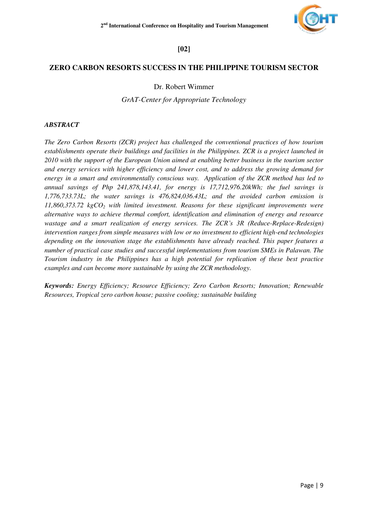

### **[02]**

### **ZERO CARBON RESORTS SUCCESS IN THE PHILIPPINE TOURISM SECTOR**

### Dr. Robert Wimmer

*GrAT-Center for Appropriate Technology* 

#### *ABSTRACT*

*The Zero Carbon Resorts (ZCR) project has challenged the conventional practices of how tourism establishments operate their buildings and facilities in the Philippines. ZCR is a project launched in 2010 with the support of the European Union aimed at enabling better business in the tourism sector and energy services with higher efficiency and lower cost, and to address the growing demand for energy in a smart and environmentally conscious way. Application of the ZCR method has led to annual savings of Php 241,878,143.41, for energy is 17,712,976.20kWh; the fuel savings is 1,776,733.73L; the water savings is 476,824,036.43L; and the avoided carbon emission is 11,860,373.72 kgCO2 with limited investment. Reasons for these significant improvements were alternative ways to achieve thermal comfort, identification and elimination of energy and resource wastage and a smart realization of energy services. The ZCR"s 3R (Reduce-Replace-Redesign) intervention ranges from simple measures with low or no investment to efficient high-end technologies depending on the innovation stage the establishments have already reached. This paper features a number of practical case studies and successful implementations from tourism SMEs in Palawan. The Tourism industry in the Philippines has a high potential for replication of these best practice examples and can become more sustainable by using the ZCR methodology.* 

*Keywords: Energy Efficiency; Resource Efficiency; Zero Carbon Resorts; Innovation; Renewable Resources, Tropical zero carbon house; passive cooling; sustainable building*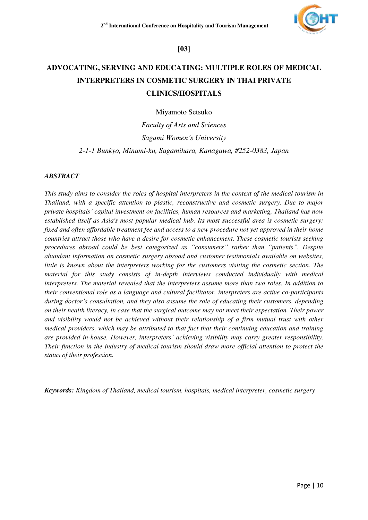

**[03]** 

### **ADVOCATING, SERVING AND EDUCATING: MULTIPLE ROLES OF MEDICAL INTERPRETERS IN COSMETIC SURGERY IN THAI PRIVATE CLINICS/HOSPITALS**

Miyamoto Setsuko

*Faculty of Arts and Sciences Sagami Women"s University*

*2-1-1 Bunkyo, Minami-ku, Sagamihara, Kanagawa, #252-0383, Japan* 

### *ABSTRACT*

*This study aims to consider the roles of hospital interpreters in the context of the medical tourism in Thailand, with a specific attention to plastic, reconstructive and cosmetic surgery. Due to major private hospitals" capital investment on facilities, human resources and marketing, Thailand has now established itself as Asia's most popular medical hub. Its most successful area is cosmetic surgery: fixed and often affordable treatment fee and access to a new procedure not yet approved in their home countries attract those who have a desire for cosmetic enhancement. These cosmetic tourists seeking procedures abroad could be best categorized as "consumers" rather than "patients". Despite abundant information on cosmetic surgery abroad and customer testimonials available on websites, little is known about the interpreters working for the customers visiting the cosmetic section. The material for this study consists of in-depth interviews conducted individually with medical interpreters. The material revealed that the interpreters assume more than two roles. In addition to their conventional role as a language and cultural facilitator, interpreters are active co-participants during doctor"s consultation, and they also assume the role of educating their customers, depending on their health literacy, in case that the surgical outcome may not meet their expectation. Their power and visibility would not be achieved without their relationship of a firm mutual trust with other medical providers, which may be attributed to that fact that their continuing education and training are provided in-house. However, interpreters" achieving visibility may carry greater responsibility. Their function in the industry of medical tourism should draw more official attention to protect the status of their profession.* 

*Keywords: Kingdom of Thailand, medical tourism, hospitals, medical interpreter, cosmetic surgery*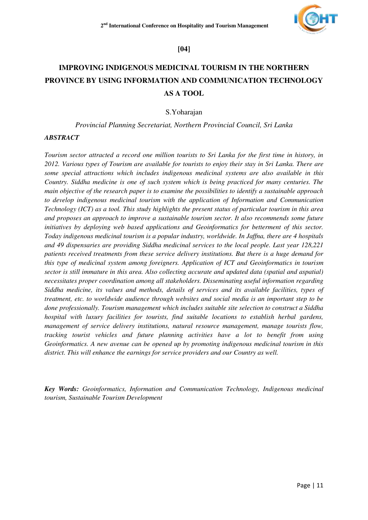

### **[04]**

### **IMPROVING INDIGENOUS MEDICINAL TOURISM IN THE NORTHERN PROVINCE BY USING INFORMATION AND COMMUNICATION TECHNOLOGY AS A TOOL**

### S.Yoharajan

*Provincial Planning Secretariat, Northern Provincial Council, Sri Lanka* 

#### *ABSTRACT*

*Tourism sector attracted a record one million tourists to Sri Lanka for the first time in history, in 2012. Various types of Tourism are available for tourists to enjoy their stay in Sri Lanka. There are some special attractions which includes indigenous medicinal systems are also available in this Country. Siddha medicine is one of such system which is being practiced for many centuries. The main objective of the research paper is to examine the possibilities to identify a sustainable approach to develop indigenous medicinal tourism with the application of Information and Communication Technology (ICT) as a tool. This study highlights the present status of particular tourism in this area and proposes an approach to improve a sustainable tourism sector. It also recommends some future initiatives by deploying web based applications and Geoinformatics for betterment of this sector. Today indigenous medicinal tourism is a popular industry, worldwide. In Jaffna, there are 4 hospitals and 49 dispensaries are providing Siddha medicinal services to the local people. Last year 128,221 patients received treatments from these service delivery institutions. But there is a huge demand for this type of medicinal system among foreigners. Application of ICT and Geoinformatics in tourism sector is still immature in this area. Also collecting accurate and updated data (spatial and aspatial) necessitates proper coordination among all stakeholders. Disseminating useful information regarding Siddha medicine, its values and methods, details of services and its available facilities, types of treatment, etc. to worldwide audience through websites and social media is an important step to be done professionally. Tourism management which includes suitable site selection to construct a Siddha hospital with luxury facilities for tourists, find suitable locations to establish herbal gardens, management of service delivery institutions, natural resource management, manage tourists flow, tracking tourist vehicles and future planning activities have a lot to benefit from using Geoinformatics. A new avenue can be opened up by promoting indigenous medicinal tourism in this district. This will enhance the earnings for service providers and our Country as well.* 

*Key Words: Geoinformatics, Information and Communication Technology, Indigenous medicinal tourism, Sustainable Tourism Development*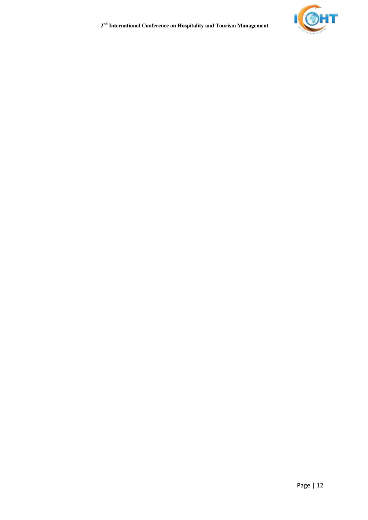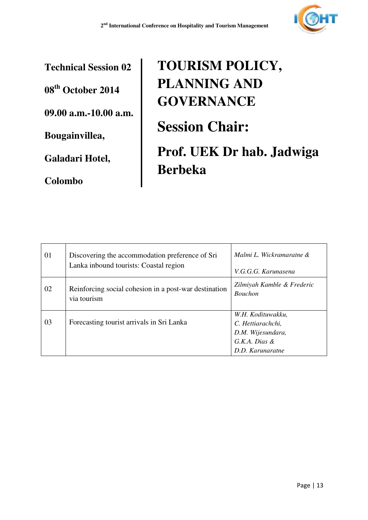

**Technical Session 02** 

**08th October 2014**

**09.00 a.m.-10.00 a.m.** 

**Bougainvillea,** 

**Galadari Hotel,** 

**Colombo** 

# **TOURISM POLICY, PLANNING AND GOVERNANCE**

# **Session Chair:**

**Prof. UEK Dr hab. Jadwiga Berbeka** 

| 01 | Discovering the accommodation preference of Sri<br>Lanka inbound tourists: Coastal region | Malmi L. Wickramaratne &<br>V.G.G.G. Karunasena                                                    |
|----|-------------------------------------------------------------------------------------------|----------------------------------------------------------------------------------------------------|
| 02 | Reinforcing social cohesion in a post-war destination<br>via tourism                      | Zilmiyah Kamble & Frederic<br><b>Bouchon</b>                                                       |
| 03 | Forecasting tourist arrivals in Sri Lanka                                                 | W.H. Kodituwakku,<br>C. Hettiarachchi,<br>D.M. Wijesundara,<br>$G.K.A.$ Dias &<br>D.D. Karunaratne |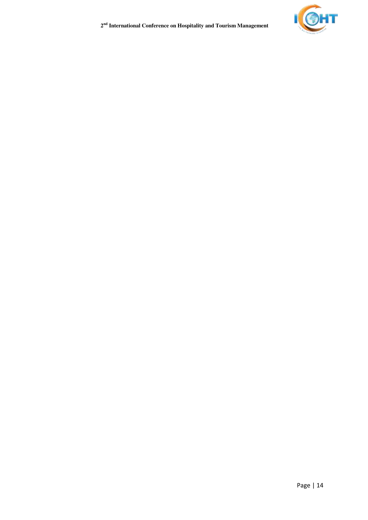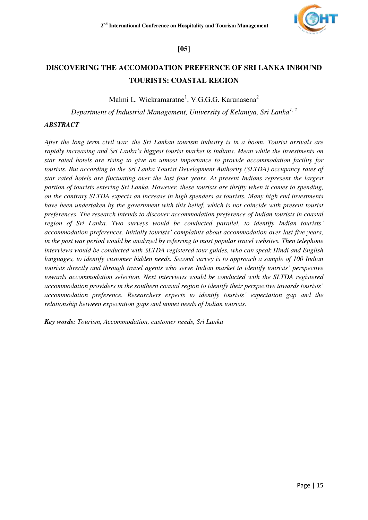

### **[05]**

### **DISCOVERING THE ACCOMODATION PREFERNCE OF SRI LANKA INBOUND TOURISTS: COASTAL REGION**

Malmi L. Wickramaratne<sup>1</sup>, V.G.G.G. Karunasena<sup>2</sup>

*Department of Industrial Management, University of Kelaniya, Sri Lanka1, 2*

### *ABSTRACT*

*After the long term civil war, the Sri Lankan tourism industry is in a boom. Tourist arrivals are rapidly increasing and Sri Lanka"s biggest tourist market is Indians. Mean while the investments on star rated hotels are rising to give an utmost importance to provide accommodation facility for tourists. But according to the Sri Lanka Tourist Development Authority (SLTDA) occupancy rates of star rated hotels are fluctuating over the last four years. At present Indians represent the largest portion of tourists entering Sri Lanka. However, these tourists are thrifty when it comes to spending, on the contrary SLTDA expects an increase in high spenders as tourists. Many high end investments have been undertaken by the government with this belief, which is not coincide with present tourist preferences. The research intends to discover accommodation preference of Indian tourists in coastal*  region of Sri Lanka. Two surveys would be conducted parallel, to identify Indian tourists' *accommodation preferences. Initially tourists" complaints about accommodation over last five years, in the post war period would be analyzed by referring to most popular travel websites. Then telephone interviews would be conducted with SLTDA registered tour guides, who can speak Hindi and English languages, to identify customer hidden needs. Second survey is to approach a sample of 100 Indian tourists directly and through travel agents who serve Indian market to identify tourists" perspective towards accommodation selection. Next interviews would be conducted with the SLTDA registered accommodation providers in the southern coastal region to identify their perspective towards tourists" accommodation preference. Researchers expects to identify tourists" expectation gap and the relationship between expectation gaps and unmet needs of Indian tourists.* 

*Key words: Tourism, Accommodation, customer needs, Sri Lanka*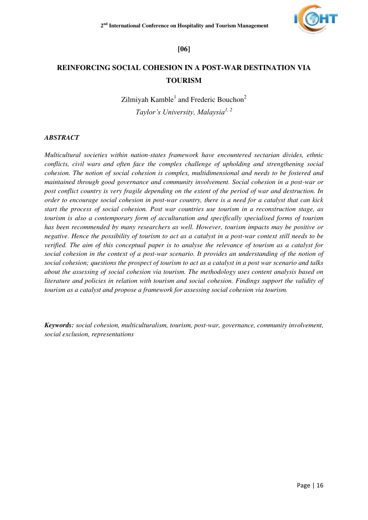

**[06]** 

### **REINFORCING SOCIAL COHESION IN A POST-WAR DESTINATION VIA TOURISM**

Zilmiyah Kamble<sup>1</sup> and Frederic Bouchon<sup>2</sup>

*Taylor"s University, Malaysia1, 2*

### *ABSTRACT*

*Multicultural societies within nation-states framework have encountered sectarian divides, ethnic conflicts, civil wars and often face the complex challenge of upholding and strengthening social cohesion. The notion of social cohesion is complex, multidimensional and needs to be fostered and maintained through good governance and community involvement. Social cohesion in a post-war or post conflict country is very fragile depending on the extent of the period of war and destruction. In order to encourage social cohesion in post-war country, there is a need for a catalyst that can kick start the process of social cohesion. Post war countries use tourism in a reconstruction stage, as tourism is also a contemporary form of acculturation and specifically specialised forms of tourism has been recommended by many researchers as well. However, tourism impacts may be positive or negative. Hence the possibility of tourism to act as a catalyst in a post-war context still needs to be verified. The aim of this conceptual paper is to analyse the relevance of tourism as a catalyst for social cohesion in the context of a post-war scenario. It provides an understanding of the notion of social cohesion; questions the prospect of tourism to act as a catalyst in a post war scenario and talks about the assessing of social cohesion via tourism. The methodology uses content analysis based on literature and policies in relation with tourism and social cohesion. Findings support the validity of tourism as a catalyst and propose a framework for assessing social cohesion via tourism.* 

*Keywords: social cohesion, multiculturalism, tourism, post-war, governance, community involvement, social exclusion, representations*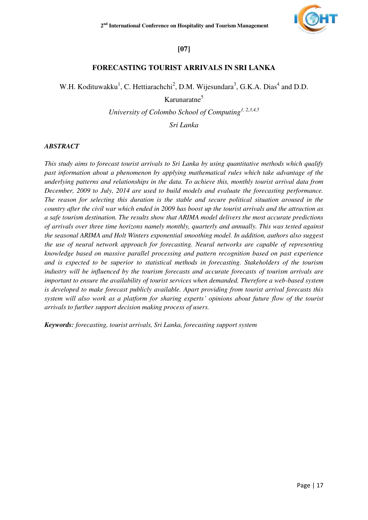

### **[07]**

### **FORECASTING TOURIST ARRIVALS IN SRI LANKA**

W.H. Kodituwakku<sup>1</sup>, C. Hettiarachchi<sup>2</sup>, D.M. Wijesundara<sup>3</sup>, G.K.A. Dias<sup>4</sup> and D.D.

Karunaratne<sup>5</sup>

*University of Colombo School of Computing1, 2,3,4,5*

*Sri Lanka* 

### *ABSTRACT*

*This study aims to forecast tourist arrivals to Sri Lanka by using quantitative methods which qualify past information about a phenomenon by applying mathematical rules which take advantage of the underlying patterns and relationships in the data. To achieve this, monthly tourist arrival data from December, 2009 to July, 2014 are used to build models and evaluate the forecasting performance. The reason for selecting this duration is the stable and secure political situation aroused in the country after the civil war which ended in 2009 has boost up the tourist arrivals and the attraction as a safe tourism destination. The results show that ARIMA model delivers the most accurate predictions of arrivals over three time horizons namely monthly, quarterly and annually. This was tested against the seasonal ARIMA and Holt Winters exponential smoothing model. In addition, authors also suggest the use of neural network approach for forecasting. Neural networks are capable of representing knowledge based on massive parallel processing and pattern recognition based on past experience and is expected to be superior to statistical methods in forecasting. Stakeholders of the tourism industry will be influenced by the tourism forecasts and accurate forecasts of tourism arrivals are important to ensure the availability of tourist services when demanded. Therefore a web-based system is developed to make forecast publicly available. Apart providing from tourist arrival forecasts this system will also work as a platform for sharing experts" opinions about future flow of the tourist arrivals to further support decision making process of users.* 

*Keywords: forecasting, tourist arrivals, Sri Lanka, forecasting support system*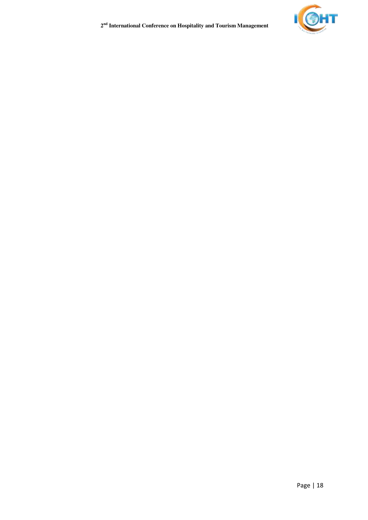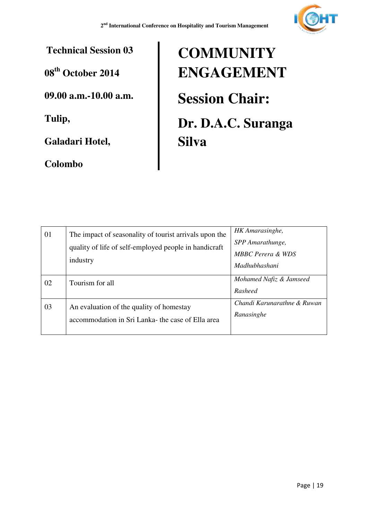

**Technical Session 03** 

**08th October 2014**

**09.00 a.m.-10.00 a.m.** 

**Tulip,** 

**Galadari Hotel,** 

**Colombo** 

# **COMMUNITY ENGAGEMENT Session Chair:**

**Dr. D.A.C. Suranga Silva** 

| 01 | The impact of seasonality of tourist arrivals upon the<br>quality of life of self-employed people in handicraft<br>industry | HK Amarasinghe,<br>SPP Amarathunge,<br><b>MBBC</b> Perera & WDS<br>Madhubhashani |
|----|-----------------------------------------------------------------------------------------------------------------------------|----------------------------------------------------------------------------------|
| 02 | Tourism for all                                                                                                             | Mohamed Nafiz & Jamseed<br>Rasheed                                               |
| 03 | An evaluation of the quality of homestay<br>accommodation in Sri Lanka- the case of Ella area                               | Chandi Karunarathne & Ruwan<br>Ranasinghe                                        |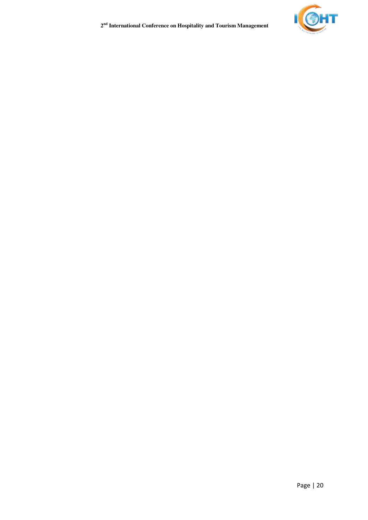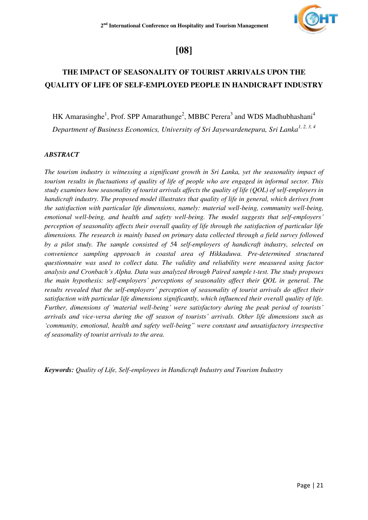

## **[08]**

### **THE IMPACT OF SEASONALITY OF TOURIST ARRIVALS UPON THE QUALITY OF LIFE OF SELF-EMPLOYED PEOPLE IN HANDICRAFT INDUSTRY**

HK Amarasinghe<sup>1</sup>, Prof. SPP Amarathunge<sup>2</sup>, MBBC Perera<sup>3</sup> and WDS Madhubhashani<sup>4</sup> *Department of Business Economics, University of Sri Jayewardenepura, Sri Lanka1, 2, 3, 4*

### *ABSTRACT*

*The tourism industry is witnessing a significant growth in Sri Lanka, yet the seasonality impact of tourism results in fluctuations of quality of life of people who are engaged in informal sector. This study examines how seasonality of tourist arrivals affects the quality of life (QOL) of self-employers in handicraft industry. The proposed model illustrates that quality of life in general, which derives from the satisfaction with particular life dimensions, namely: material well-being, community well-being, emotional well-being, and health and safety well-being. The model suggests that self-employers" perception of seasonality affects their overall quality of life through the satisfaction of particular life dimensions. The research is mainly based on primary data collected through a field survey followed by a pilot study. The sample consisted of 5*4 *self-employers of handicraft industry, selected on convenience sampling approach in coastal area of Hikkaduwa. Pre-determined structured questionnaire was used to collect data. The validity and reliability were measured using factor analysis and Cronbach"s Alpha. Data was analyzed through Paired sample t-test. The study proposes the main hypothesis: self-employers" perceptions of seasonality affect their QOL in general. The results revealed that the self-employers" perception of seasonality of tourist arrivals do affect their satisfaction with particular life dimensions significantly, which influenced their overall quality of life. Further, dimensions of "material well-being" were satisfactory during the peak period of tourists" arrivals and vice-versa during the off season of tourists" arrivals. Other life dimensions such as "community, emotional, health and safety well-being" were constant and unsatisfactory irrespective of seasonality of tourist arrivals to the area.* 

*Keywords: Quality of Life, Self-employees in Handicraft Industry and Tourism Industry*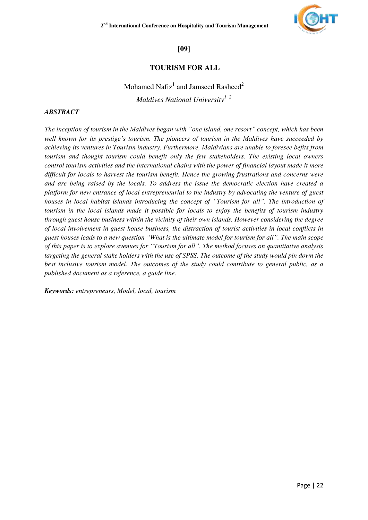

### **[09]**

### **TOURISM FOR ALL**

Mohamed Nafiz<sup>1</sup> and Jamseed Rasheed<sup>2</sup> *Maldives National University1, 2*

### *ABSTRACT*

*The inception of tourism in the Maldives began with "one island, one resort" concept, which has been well known for its prestige"s tourism. The pioneers of tourism in the Maldives have succeeded by achieving its ventures in Tourism industry. Furthermore, Maldivians are unable to foresee befits from tourism and thought tourism could benefit only the few stakeholders. The existing local owners control tourism activities and the international chains with the power of financial layout made it more difficult for locals to harvest the tourism benefit. Hence the growing frustrations and concerns were and are being raised by the locals. To address the issue the democratic election have created a platform for new entrance of local entrepreneurial to the industry by advocating the venture of guest houses in local habitat islands introducing the concept of "Tourism for all". The introduction of tourism in the local islands made it possible for locals to enjoy the benefits of tourism industry through guest house business within the vicinity of their own islands. However considering the degree of local involvement in guest house business, the distraction of tourist activities in local conflicts in guest houses leads to a new question "What is the ultimate model for tourism for all". The main scope of this paper is to explore avenues for "Tourism for all". The method focuses on quantitative analysis targeting the general stake holders with the use of SPSS. The outcome of the study would pin down the best inclusive tourism model. The outcomes of the study could contribute to general public, as a published document as a reference, a guide line.* 

*Keywords: entrepreneurs, Model, local, tourism*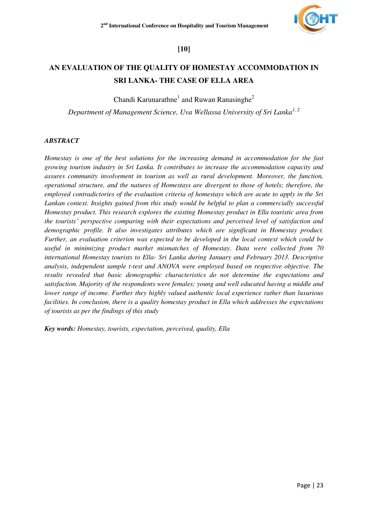

### **[10]**

### **AN EVALUATION OF THE QUALITY OF HOMESTAY ACCOMMODATION IN SRI LANKA- THE CASE OF ELLA AREA**

Chandi Karunarathne<sup>1</sup> and Ruwan Ranasinghe<sup>2</sup>

*Department of Management Science, Uva Wellassa University of Sri Lanka1, 2* 

### *ABSTRACT*

*Homestay is one of the best solutions for the increasing demand in accommodation for the fast growing tourism industry in Sri Lanka. It contributes to increase the accommodation capacity and assures community involvement in tourism as well as rural development. Moreover, the function, operational structure, and the natures of Homestays are divergent to those of hotels; therefore, the employed contradictories of the evaluation criteria of homestays which are acute to apply in the Sri Lankan context. Insights gained from this study would be helpful to plan a commercially successful Homestay product. This research explores the existing Homestay product in Ella touristic area from the tourists" perspective comparing with their expectations and perceived level of satisfaction and demographic profile. It also investigates attributes which are significant in Homestay product. Further, an evaluation criterion was expected to be developed in the local context which could be useful in minimizing product market mismatches of Homestay. Data were collected from 70 international Homestay tourists to Ella- Sri Lanka during January and February 2013. Descriptive analysis, independent sample t-test and ANOVA were employed based on respective objective. The results revealed that basic demographic characteristics do not determine the expectations and satisfaction. Majority of the respondents were females; young and well educated having a middle and lower range of income. Further they highly valued authentic local experience rather than luxurious facilities. In conclusion, there is a quality homestay product in Ella which addresses the expectations of tourists as per the findings of this study* 

*Key words: Homestay, tourists, expectation, perceived, quality, Ella*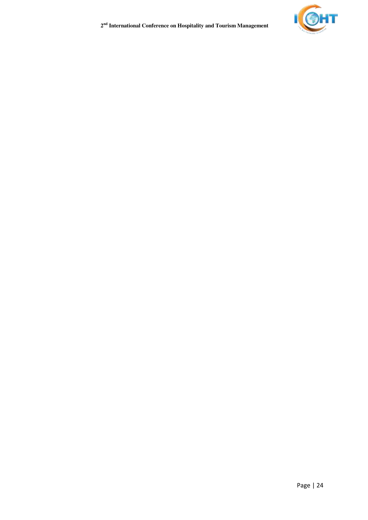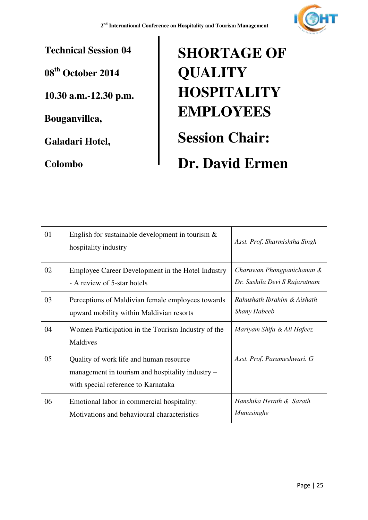

**Technical Session 04** 

**08th October 2014**

**10.30 a.m.-12.30 p.m.** 

**Bouganvillea,** 

**Galadari Hotel,** 

**Colombo** 

# **SHORTAGE OF QUALITY HOSPITALITY EMPLOYEES Session Chair: Dr. David Ermen**

| 01 | English for sustainable development in tourism $\&$<br>hospitality industry                                                        | Asst. Prof. Sharmishtha Singh                               |
|----|------------------------------------------------------------------------------------------------------------------------------------|-------------------------------------------------------------|
| 02 | Employee Career Development in the Hotel Industry<br>- A review of 5-star hotels                                                   | Charuwan Phongpanichanan &<br>Dr. Sushila Devi S Rajaratnam |
| 03 | Perceptions of Maldivian female employees towards<br>upward mobility within Maldivian resorts                                      | Rahushath Ibrahim & Aishath<br><b>Shany Habeeb</b>          |
| 04 | Women Participation in the Tourism Industry of the<br>Maldives                                                                     | Mariyam Shifa & Ali Hafeez                                  |
| 05 | Quality of work life and human resource<br>management in tourism and hospitality industry –<br>with special reference to Karnataka | Asst. Prof. Parameshwari. G                                 |
| 06 | Emotional labor in commercial hospitality:<br>Motivations and behavioural characteristics                                          | Hanshika Herath & Sarath<br><b>Munasinghe</b>               |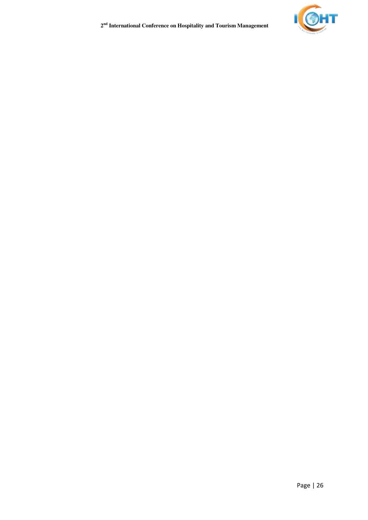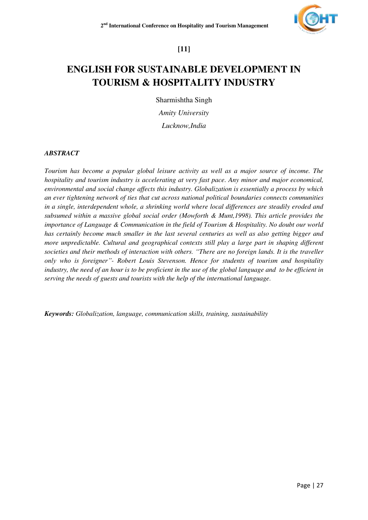

#### **[11]**

## **ENGLISH FOR SUSTAINABLE DEVELOPMENT IN TOURISM & HOSPITALITY INDUSTRY**

Sharmishtha Singh

*Amity University* 

*Lucknow,India* 

#### *ABSTRACT*

*Tourism has become a popular global leisure activity as well as a major source of income. The hospitality and tourism industry is accelerating at very fast pace. Any minor and major economical, environmental and social change affects this industry. Globalization is essentially a process by which an ever tightening network of ties that cut across national political boundaries connects communities in a single, interdependent whole, a shrinking world where local differences are steadily eroded and subsumed within a massive global social order (Mowforth & Munt,1998). This article provides the importance of Language & Communication in the field of Tourism & Hospitality. No doubt our world has certainly become much smaller in the last several centuries as well as also getting bigger and more unpredictable. Cultural and geographical contexts still play a large part in shaping different societies and their methods of interaction with others. "There are no foreign lands. It is the traveller only who is foreigner"- Robert Louis Stevenson. Hence for students of tourism and hospitality industry, the need of an hour is to be proficient in the use of the global language and to be efficient in serving the needs of guests and tourists with the help of the international language.* 

*Keywords: Globalization, language, communication skills, training, sustainability*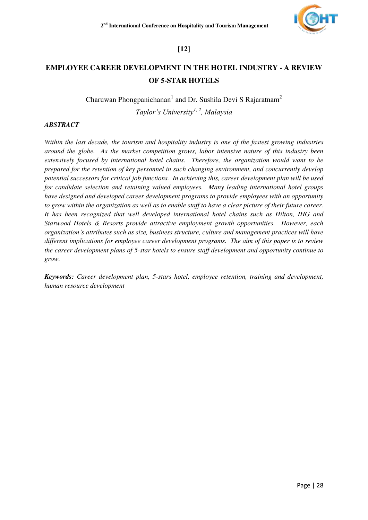

#### **[12]**

## **EMPLOYEE CAREER DEVELOPMENT IN THE HOTEL INDUSTRY - A REVIEW OF 5-STAR HOTELS**

Charuwan Phongpanichanan<sup>1</sup> and Dr. Sushila Devi S Rajaratnam<sup>2</sup>

*Taylor"s University1, 2, Malaysia* 

#### *ABSTRACT*

*Within the last decade, the tourism and hospitality industry is one of the fastest growing industries around the globe. As the market competition grows, labor intensive nature of this industry been extensively focused by international hotel chains. Therefore, the organization would want to be prepared for the retention of key personnel in such changing environment, and concurrently develop potential successors for critical job functions. In achieving this, career development plan will be used for candidate selection and retaining valued employees. Many leading international hotel groups have designed and developed career development programs to provide employees with an opportunity to grow within the organization as well as to enable staff to have a clear picture of their future career. It has been recognized that well developed international hotel chains such as Hilton, IHG and Starwood Hotels & Resorts provide attractive employment growth opportunities. However, each organization"s attributes such as size, business structure, culture and management practices will have different implications for employee career development programs. The aim of this paper is to review the career development plans of 5-star hotels to ensure staff development and opportunity continue to grow.* 

*Keywords: Career development plan, 5-stars hotel, employee retention, training and development, human resource development*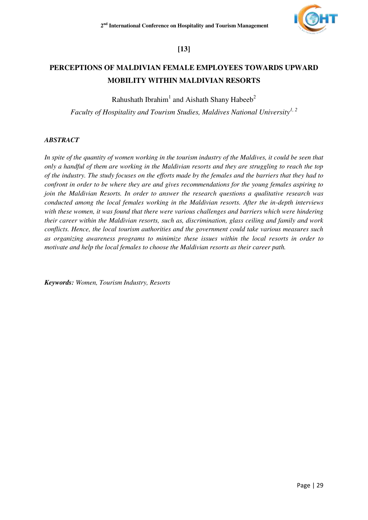

#### **[13]**

## **PERCEPTIONS OF MALDIVIAN FEMALE EMPLOYEES TOWARDS UPWARD MOBILITY WITHIN MALDIVIAN RESORTS**

Rahushath Ibrahim<sup>1</sup> and Aishath Shany Habeeb<sup>2</sup>

*Faculty of Hospitality and Tourism Studies, Maldives National University1, 2* 

#### *ABSTRACT*

*In spite of the quantity of women working in the tourism industry of the Maldives, it could be seen that only a handful of them are working in the Maldivian resorts and they are struggling to reach the top of the industry. The study focuses on the efforts made by the females and the barriers that they had to confront in order to be where they are and gives recommendations for the young females aspiring to join the Maldivian Resorts. In order to answer the research questions a qualitative research was conducted among the local females working in the Maldivian resorts. After the in-depth interviews with these women, it was found that there were various challenges and barriers which were hindering their career within the Maldivian resorts, such as, discrimination, glass ceiling and family and work conflicts. Hence, the local tourism authorities and the government could take various measures such as organizing awareness programs to minimize these issues within the local resorts in order to motivate and help the local females to choose the Maldivian resorts as their career path.* 

*Keywords: Women, Tourism Industry, Resorts*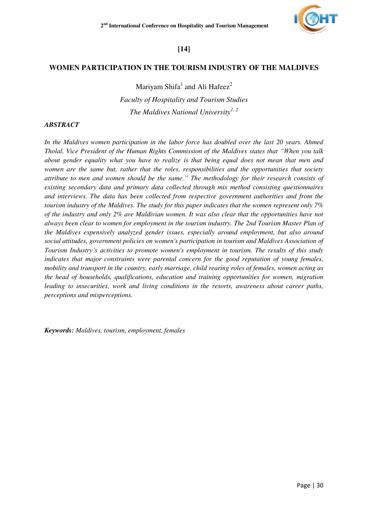

#### **[14]**

#### **WOMEN PARTICIPATION IN THE TOURISM INDUSTRY OF THE MALDIVES**

Mariyam Shifa $^1$  and Ali Hafeez $^2$ *Faculty of Hospitality and Tourism Studies The Maldives National University1, 2* 

#### *ABSTRACT*

*In the Maldives women participation in the labor force has doubled over the last 20 years. Ahmed Tholal, Vice President of the Human Rights Commission of the Maldives states that "When you talk about gender equality what you have to realize is that being equal does not mean that men and women are the same but, rather that the roles, responsibilities and the opportunities that society attribute to men and women should be the same." The methodology for their research consists of existing secondary data and primary data collected through mix method consisting questionnaires and interviews. The data has been collected from respective government authorities and from the tourism industry of the Maldives. The study for this paper indicates that the women represent only 7% of the industry and only 2% are Maldivian women. It was also clear that the opportunities have not always been clear to women for employment in the tourism industry. The 2nd Tourism Master Plan of the Maldives expensively analyzed gender issues, especially around employment, but also around social attitudes, government policies on women's participation in tourism and Maldives Association of Tourism Industry"s activities to promote women's employment in tourism. The results of this study indicates that major constraints were parental concern for the good reputation of young females, mobility and transport in the country, early marriage, child rearing roles of females, women acting as the head of households, qualifications, education and training opportunities for women, migration leading to insecurities, work and living conditions in the resorts, awareness about career paths, perceptions and misperceptions.* 

*Keywords: Maldives, tourism, employment, females*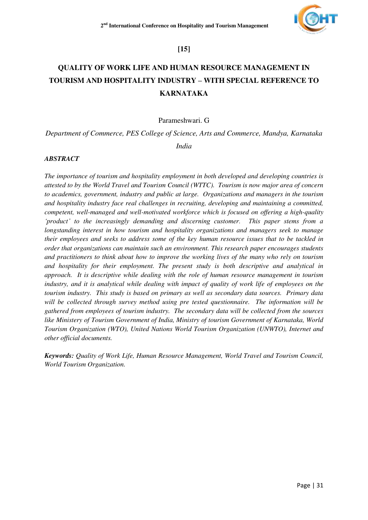

#### **[15]**

## **QUALITY OF WORK LIFE AND HUMAN RESOURCE MANAGEMENT IN TOURISM AND HOSPITALITY INDUSTRY – WITH SPECIAL REFERENCE TO KARNATAKA**

Parameshwari. G

*Department of Commerce, PES College of Science, Arts and Commerce, Mandya, Karnataka* 

*India* 

#### *ABSTRACT*

*The importance of tourism and hospitality employment in both developed and developing countries is attested to by the World Travel and Tourism Council (WTTC). Tourism is now major area of concern to academics, government, industry and public at large. Organizations and managers in the tourism and hospitality industry face real challenges in recruiting, developing and maintaining a committed, competent, well-managed and well-motivated workforce which is focused on offering a high-quality "product" to the increasingly demanding and discerning customer. This paper stems from a longstanding interest in how tourism and hospitality organizations and managers seek to manage their employees and seeks to address some of the key human resource issues that to be tackled in order that organizations can maintain such an environment. This research paper encourages students and practitioners to think about how to improve the working lives of the many who rely on tourism and hospitality for their employment. The present study is both descriptive and analytical in approach. It is descriptive while dealing with the role of human resource management in tourism industry, and it is analytical while dealing with impact of quality of work life of employees on the tourism industry. This study is based on primary as well as secondary data sources. Primary data will be collected through survey method using pre tested questionnaire. The information will be gathered from employees of tourism industry. The secondary data will be collected from the sources like Ministery of Tourism Government of India, Ministry of tourism Government of Karnataka, World Tourism Organization (WTO), United Nations World Tourism Organization (UNWTO), Internet and other official documents.* 

*Keywords: Quality of Work Life, Human Resource Management, World Travel and Tourism Council, World Tourism Organization.*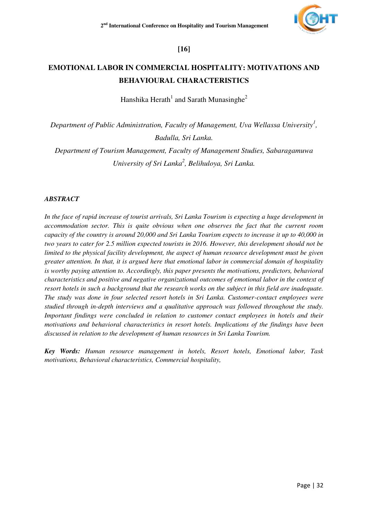

#### **[16]**

## **EMOTIONAL LABOR IN COMMERCIAL HOSPITALITY: MOTIVATIONS AND BEHAVIOURAL CHARACTERISTICS**

Hanshika Herath<sup>1</sup> and Sarath Munasinghe<sup>2</sup>

*Department of Public Administration, Faculty of Management, Uva Wellassa University<sup>1</sup> , Badulla, Sri Lanka.* 

*Department of Tourism Management, Faculty of Management Studies, Sabaragamuwa University of Sri Lanka<sup>2</sup> , Belihuloya, Sri Lanka.* 

#### *ABSTRACT*

*In the face of rapid increase of tourist arrivals, Sri Lanka Tourism is expecting a huge development in accommodation sector. This is quite obvious when one observes the fact that the current room capacity of the country is around 20,000 and Sri Lanka Tourism expects to increase it up to 40,000 in two years to cater for 2.5 million expected tourists in 2016. However, this development should not be limited to the physical facility development, the aspect of human resource development must be given greater attention. In that, it is argued here that emotional labor in commercial domain of hospitality is worthy paying attention to. Accordingly, this paper presents the motivations, predictors, behavioral characteristics and positive and negative organizational outcomes of emotional labor in the context of resort hotels in such a background that the research works on the subject in this field are inadequate. The study was done in four selected resort hotels in Sri Lanka. Customer-contact employees were studied through in-depth interviews and a qualitative approach was followed throughout the study. Important findings were concluded in relation to customer contact employees in hotels and their motivations and behavioral characteristics in resort hotels. Implications of the findings have been discussed in relation to the development of human resources in Sri Lanka Tourism.* 

*Key Words: Human resource management in hotels, Resort hotels, Emotional labor, Task motivations, Behavioral characteristics, Commercial hospitality,*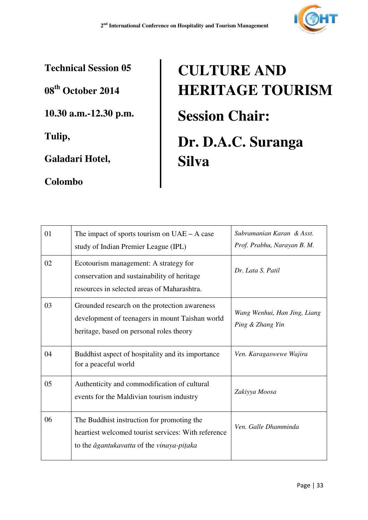

**Technical Session 05** 

**08th October 2014**

**10.30 a.m.-12.30 p.m.** 

**Tulip,** 

**Galadari Hotel,** 

**Colombo** 

## **CULTURE AND HERITAGE TOURISM Session Chair: Dr. D.A.C. Suranga Silva**

| 01 | The impact of sports tourism on $UAE - A$ case                                                                                                 | Subramanian Karan & Asst.<br>Prof. Prabhu, Narayan B. M. |
|----|------------------------------------------------------------------------------------------------------------------------------------------------|----------------------------------------------------------|
|    | study of Indian Premier League (IPL)                                                                                                           |                                                          |
| 02 | Ecotourism management: A strategy for<br>conservation and sustainability of heritage<br>resources in selected areas of Maharashtra.            | Dr. Lata S. Patil                                        |
| 03 | Grounded research on the protection awareness<br>development of teenagers in mount Taishan world<br>heritage, based on personal roles theory   | Wang Wenhui, Han Jing, Liang<br>Ping & Zhang Yin         |
| 04 | Buddhist aspect of hospitality and its importance<br>for a peaceful world                                                                      | Ven. Karagaswewe Wajira                                  |
| 05 | Authenticity and commodification of cultural<br>events for the Maldivian tourism industry                                                      | Zakiyya Moosa                                            |
| 06 | The Buddhist instruction for promoting the<br>heartiest welcomed tourist services: With reference<br>to the âgantukavatta of the vinaya-pitaka | Ven. Galle Dhamminda                                     |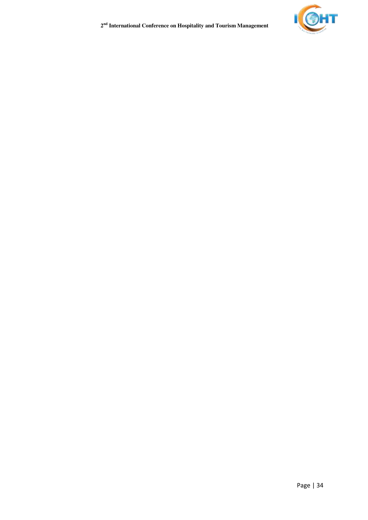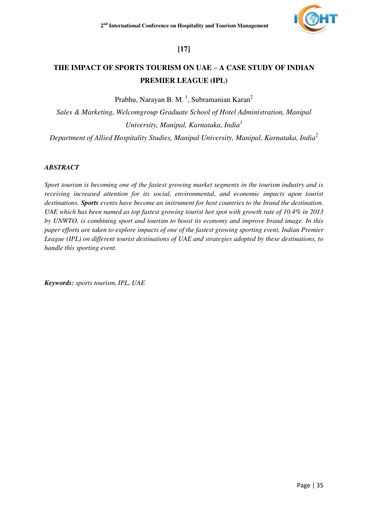

#### **[17]**

## **THE IMPACT OF SPORTS TOURISM ON UAE – A CASE STUDY OF INDIAN PREMIER LEAGUE (IPL)**

Prabhu, Narayan B. M.<sup>1</sup>, Subramanian Karan<sup>2</sup>

*Sales & Marketing, Welcomgroup Graduate School of Hotel Administration, Manipal University, Manipal, Karnataka, India<sup>1</sup>*

*Department of Allied Hospitality Studies, Manipal University, Manipal, Karnataka, India<sup>2</sup>*

#### *ABSTRACT*

*Sport tourism is becoming one of the fastest growing market segments in the tourism industry and is receiving increased attention for its social, environmental, and economic impacts upon tourist destinations. Sports events have become an instrument for host countries to the brand the destination. UAE which has been named as top fastest growing tourist hot spot with growth rate of 10.4% in 2013 by UNWTO, is combining sport and tourism to boost its economy and improve brand image. In this paper efforts are taken to explore impacts of one of the fastest growing sporting event, Indian Premier League (IPL) on different tourist destinations of UAE and strategies adopted by these destinations, to handle this sporting event.* 

*Keywords: sports tourism, IPL, UAE*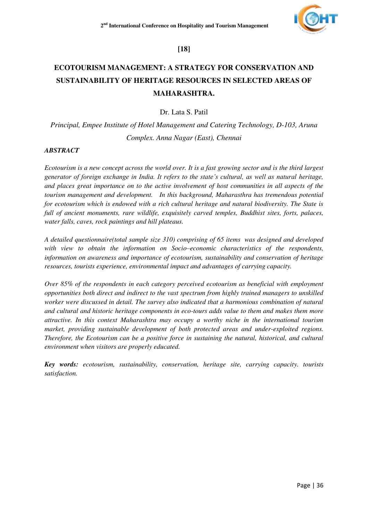

#### **[18]**

## **ECOTOURISM MANAGEMENT: A STRATEGY FOR CONSERVATION AND SUSTAINABILITY OF HERITAGE RESOURCES IN SELECTED AREAS OF MAHARASHTRA.**

#### Dr. Lata S. Patil

*Principal, Empee Institute of Hotel Management and Catering Technology, D-103, Aruna Complex. Anna Nagar (East), Chennai* 

#### *ABSTRACT*

*Ecotourism is a new concept across the world over. It is a fast growing sector and is the third largest generator of foreign exchange in India. It refers to the state"s cultural, as well as natural heritage, and places great importance on to the active involvement of host communities in all aspects of the tourism management and development. In this background, Maharasthra has tremendous potential for ecotourism which is endowed with a rich cultural heritage and natural biodiversity. The State is full of ancient monuments, rare wildlife, exquisitely carved temples, Buddhist sites, forts, palaces, water falls, caves, rock paintings and hill plateaus.* 

*A detailed questionnaire(total sample size 310) comprising of 65 items was designed and developed with view to obtain the information on Socio–economic characteristics of the respondents, information on awareness and importance of ecotourism, sustainability and conservation of heritage resources, tourists experience, environmental impact and advantages of carrying capacity.* 

*Over 85% of the respondents in each category perceived ecotourism as beneficial with employment opportunities both direct and indirect to the vast spectrum from highly trained managers to unskilled worker were discussed in detail. The survey also indicated that a harmonious combination of natural and cultural and historic heritage components in eco-tours adds value to them and makes them more attractive. In this context Maharashtra may occupy a worthy niche in the international tourism market, providing sustainable development of both protected areas and under-exploited regions. Therefore, the Ecotourism can be a positive force in sustaining the natural, historical, and cultural environment when visitors are properly educated.* 

*Key words: ecotourism, sustainability, conservation, heritage site, carrying capacity. tourists satisfaction.*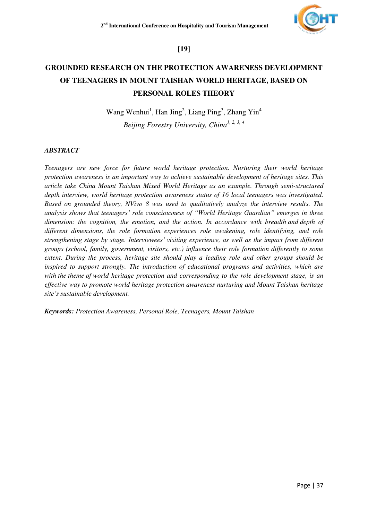

#### **[19]**

## **GROUNDED RESEARCH ON THE PROTECTION AWARENESS DEVELOPMENT OF TEENAGERS IN MOUNT TAISHAN WORLD HERITAGE, BASED ON PERSONAL ROLES THEORY**

Wang Wenhui<sup>1</sup>, Han Jing<sup>2</sup>, Liang Ping<sup>3</sup>, Zhang Yin<sup>4</sup> *Beijing Forestry University, China1, 2, 3, 4*

#### *ABSTRACT*

*Teenagers are new force for future world heritage protection. Nurturing their world heritage protection awareness is an important way to achieve sustainable development of heritage sites. This article take China Mount Taishan Mixed World Heritage as an example. Through semi-structured depth interview, world heritage protection awareness status of 16 local teenagers was investigated. Based on grounded theory, NVivo 8 was used to qualitatively analyze the interview results. The analysis shows that teenagers" role consciousness of "World Heritage Guardian" emerges in three dimension: the cognition, the emotion, and the action. In accordance with breadth and depth of different dimensions, the role formation experiences role awakening, role identifying, and role strengthening stage by stage. Interviewees" visiting experience, as well as the impact from different groups (school, family, government, visitors, etc.) influence their role formation differently to some extent. During the process, heritage site should play a leading role and other groups should be inspired to support strongly. The introduction of educational programs and activities, which are with the theme of world heritage protection and corresponding to the role development stage, is an effective way to promote world heritage protection awareness nurturing and Mount Taishan heritage site"s sustainable development.*

*Keywords: Protection Awareness, Personal Role, Teenagers, Mount Taishan*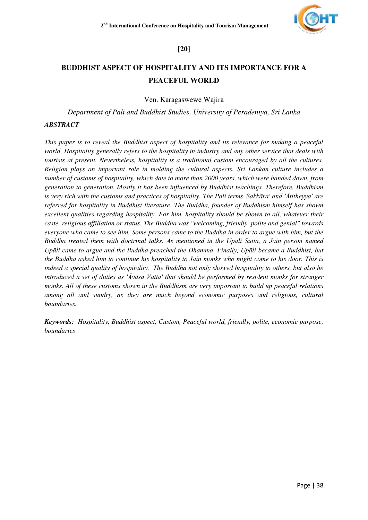

#### **[20]**

## **BUDDHIST ASPECT OF HOSPITALITY AND ITS IMPORTANCE FOR A PEACEFUL WORLD**

Ven. Karagaswewe Wajira

*Department of Pali and Buddhist Studies, University of Peradeniya, Sri Lanka* 

#### *ABSTRACT*

*This paper is to reveal the Buddhist aspect of hospitality and its relevance for making a peaceful world. Hospitality generally refers to the hospitality in industry and any other service that deals with tourists at present. Nevertheless, hospitality is a traditional custom encouraged by all the cultures. Religion plays an important role in molding the cultural aspects. Sri Lankan culture includes a number of customs of hospitality, which date to more than 2000 years, which were handed down, from generation to generation. Mostly it has been influenced by Buddhist teachings. Therefore, Buddhism is very rich with the customs and practices of hospitality. The Pali terms 'Sakkāra' and 'Ātitheyya' are referred for hospitality in Buddhist literature. The Buddha, founder of Buddhism himself has shown excellent qualities regarding hospitality. For him, hospitality should be shown to all, whatever their caste, religious affiliation or status. The Buddha was "welcoming, friendly, polite and genial" towards everyone who came to see him. Some persons came to the Buddha in order to argue with him, but the Buddha treated them with doctrinal talks. As mentioned in the UpƗli Sutta, a Jain person named UpƗli came to argue and the Buddha preached the Dhamma. Finally, UpƗli became a Buddhist, but the Buddha asked him to continue his hospitality to Jain monks who might come to his door. This is indeed a special quality of hospitality. The Buddha not only showed hospitality to others, but also he introduced a set of duties as 'Āvāsa Vatta' that should be performed by resident monks for stranger monks. All of these customs shown in the Buddhism are very important to build up peaceful relations among all and sundry, as they are much beyond economic purposes and religious, cultural boundaries.* 

*Keywords: Hospitality, Buddhist aspect, Custom, Peaceful world, friendly, polite, economic purpose, boundaries*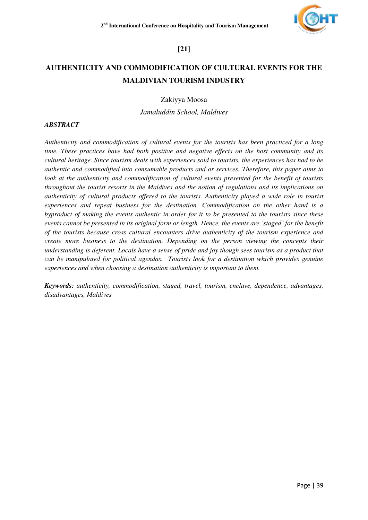

#### **[21]**

## **AUTHENTICITY AND COMMODIFICATION OF CULTURAL EVENTS FOR THE MALDIVIAN TOURISM INDUSTRY**

Zakiyya Moosa

*Jamaluddin School, Maldives* 

#### *ABSTRACT*

*Authenticity and commodification of cultural events for the tourists has been practiced for a long time. These practices have had both positive and negative effects on the host community and its cultural heritage. Since tourism deals with experiences sold to tourists, the experiences has had to be authentic and commodified into consumable products and or services. Therefore, this paper aims to look at the authenticity and commodification of cultural events presented for the benefit of tourists throughout the tourist resorts in the Maldives and the notion of regulations and its implications on authenticity of cultural products offered to the tourists. Authenticity played a wide role in tourist experiences and repeat business for the destination. Commodification on the other hand is a byproduct of making the events authentic in order for it to be presented to the tourists since these events cannot be presented in its original form or length. Hence, the events are "staged" for the benefit of the tourists because cross cultural encounters drive authenticity of the tourism experience and create more business to the destination. Depending on the person viewing the concepts their understanding is deferent. Locals have a sense of pride and joy though sees tourism as a product that can be manipulated for political agendas. Tourists look for a destination which provides genuine experiences and when choosing a destination authenticity is important to them.*

*Keywords: authenticity, commodification, staged, travel, tourism, enclave, dependence, advantages, disadvantages, Maldives*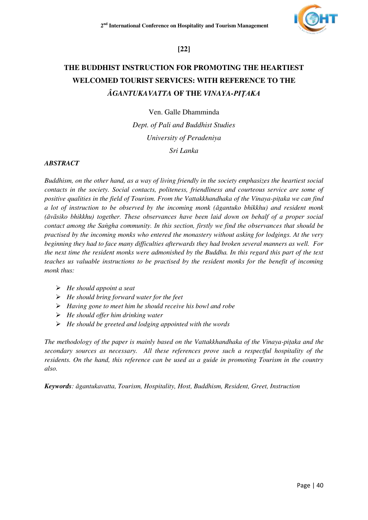

#### **[22]**

## **THE BUDDHIST INSTRUCTION FOR PROMOTING THE HEARTIEST WELCOMED TOURIST SERVICES: WITH REFERENCE TO THE**  *ÂGANTUKAVATTA* **OF THE** *VINAYA-PIṬAKA*

Ven. Galle Dhamminda *Dept. of Pali and Buddhist Studies University of Peradeniya Sri Lanka* 

#### *ABSTRACT*

*Buddhism, on the other hand, as a way of living friendly in the society emphasizes the heartiest social contacts in the society. Social contacts, politeness, friendliness and courteous service are some of positive qualities in the field of Tourism. From the Vattakkhandhaka of the Vinaya-piṭaka we can find a lot of instruction to be observed by the incoming monk (âgantuko bhikkhu) and resident monk (âvƗsiko bhikkhu) together. These observances have been laid down on behalf of a proper social contact among the Saṅgha community. In this section, firstly we find the observances that should be practised by the incoming monks who entered the monastery without asking for lodgings. At the very beginning they had to face many difficulties afterwards they had broken several manners as well. For the next time the resident monks were admonished by the Buddha. In this regard this part of the text teaches us valuable instructions to be practised by the resident monks for the benefit of incoming monk thus:* 

- *He should appoint a seat*
- *He should bring forward water for the feet*
- *Having gone to meet him he should receive his bowl and robe*
- *He should offer him drinking water*
- *He should be greeted and lodging appointed with the words*

*The methodology of the paper is mainly based on the Vattakkhandhaka of the Vinaya-piṭaka and the secondary sources as necessary. All these references prove such a respectful hospitality of the residents. On the hand, this reference can be used as a guide in promoting Tourism in the country also.* 

*Keywords: âgantukavatta, Tourism, Hospitality, Host, Buddhism, Resident, Greet, Instruction*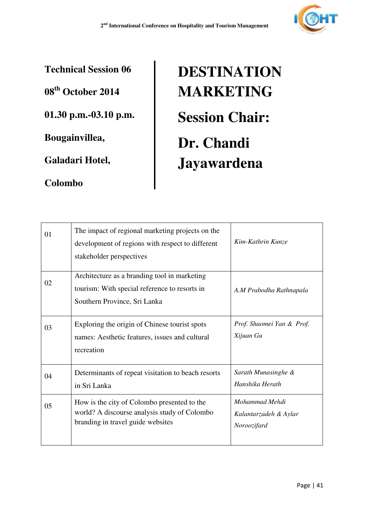

**Technical Session 06** 

**08th October 2014**

**01.30 p.m.-03.10 p.m.** 

**Bougainvillea,** 

**Galadari Hotel,** 

**Colombo** 

## **DESTINATION MARKETING Session Chair: Dr. Chandi Jayawardena**

| 01 | The impact of regional marketing projects on the<br>development of regions with respect to different<br>stakeholder perspectives | Kim-Kathrin Kunze                                      |
|----|----------------------------------------------------------------------------------------------------------------------------------|--------------------------------------------------------|
| 02 | Architecture as a branding tool in marketing<br>tourism: With special reference to resorts in<br>Southern Province, Sri Lanka    | A.M Prabodha Rathnapala                                |
| 03 | Exploring the origin of Chinese tourist spots<br>names: Aesthetic features, issues and cultural<br>recreation                    | Prof. Shaomei Yan & Prof.<br>Xijuan Gu                 |
| 04 | Determinants of repeat visitation to beach resorts<br>in Sri Lanka                                                               | Sarath Munasinghe &<br>Hanshika Herath                 |
| 05 | How is the city of Colombo presented to the<br>world? A discourse analysis study of Colombo<br>branding in travel guide websites | Mohammad Mehdi<br>Kalantarzadeh & Aylar<br>Noroozifard |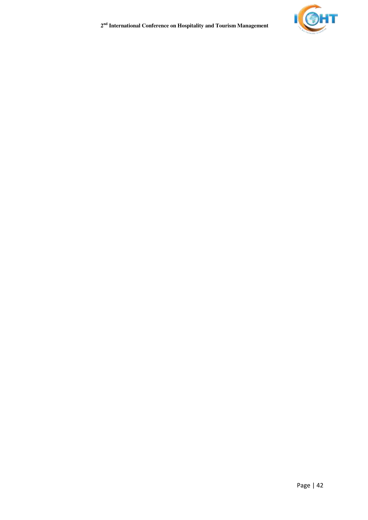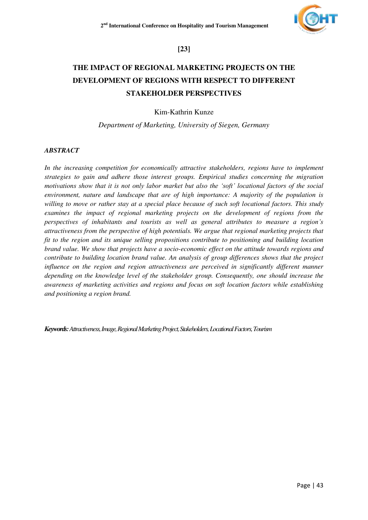

**[23]** 

## **THE IMPACT OF REGIONAL MARKETING PROJECTS ON THE DEVELOPMENT OF REGIONS WITH RESPECT TO DIFFERENT STAKEHOLDER PERSPECTIVES**

Kim-Kathrin Kunze

*Department of Marketing, University of Siegen, Germany* 

#### *ABSTRACT*

*In the increasing competition for economically attractive stakeholders, regions have to implement strategies to gain and adhere those interest groups. Empirical studies concerning the migration motivations show that it is not only labor market but also the "soft" locational factors of the social environment, nature and landscape that are of high importance: A majority of the population is willing to move or rather stay at a special place because of such soft locational factors. This study examines the impact of regional marketing projects on the development of regions from the perspectives of inhabitants and tourists as well as general attributes to measure a region"s attractiveness from the perspective of high potentials. We argue that regional marketing projects that fit to the region and its unique selling propositions contribute to positioning and building location brand value. We show that projects have a socio-economic effect on the attitude towards regions and contribute to building location brand value. An analysis of group differences shows that the project influence on the region and region attractiveness are perceived in significantly different manner depending on the knowledge level of the stakeholder group. Consequently, one should increase the awareness of marketing activities and regions and focus on soft location factors while establishing and positioning a region brand.* 

*Keywords: Attractiveness, Image, Regional Marketing Project, Stakeholders, Locational Factors, Tourism*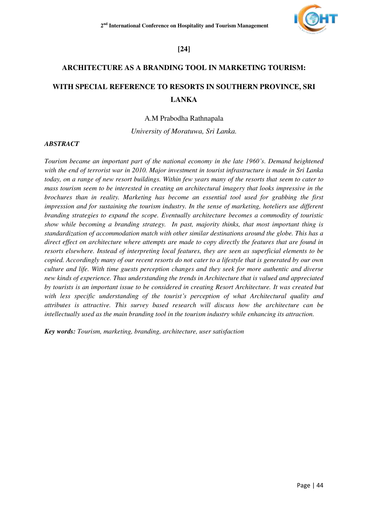

#### **[24]**

## **ARCHITECTURE AS A BRANDING TOOL IN MARKETING TOURISM: WITH SPECIAL REFERENCE TO RESORTS IN SOUTHERN PROVINCE, SRI LANKA**

#### A.M Prabodha Rathnapala

*University of Moratuwa, Sri Lanka.* 

#### *ABSTRACT*

*Tourism became an important part of the national economy in the late 1960"s. Demand heightened with the end of terrorist war in 2010. Major investment in tourist infrastructure is made in Sri Lanka today, on a range of new resort buildings. Within few years many of the resorts that seem to cater to mass tourism seem to be interested in creating an architectural imagery that looks impressive in the brochures than in reality. Marketing has become an essential tool used for grabbing the first impression and for sustaining the tourism industry. In the sense of marketing, hoteliers use different branding strategies to expand the scope. Eventually architecture becomes a commodity of touristic show while becoming a branding strategy. In past, majority thinks, that most important thing is standardization of accommodation match with other similar destinations around the globe. This has a direct effect on architecture where attempts are made to copy directly the features that are found in resorts elsewhere. Instead of interpreting local features, they are seen as superficial elements to be copied. Accordingly many of our recent resorts do not cater to a lifestyle that is generated by our own culture and life. With time guests perception changes and they seek for more authentic and diverse new kinds of experience. Thus understanding the trends in Architecture that is valued and appreciated by tourists is an important issue to be considered in creating Resort Architecture. It was created but with less specific understanding of the tourist"s perception of what Architectural quality and attributes is attractive. This survey based research will discuss how the architecture can be intellectually used as the main branding tool in the tourism industry while enhancing its attraction.* 

*Key words: Tourism, marketing, branding, architecture, user satisfaction*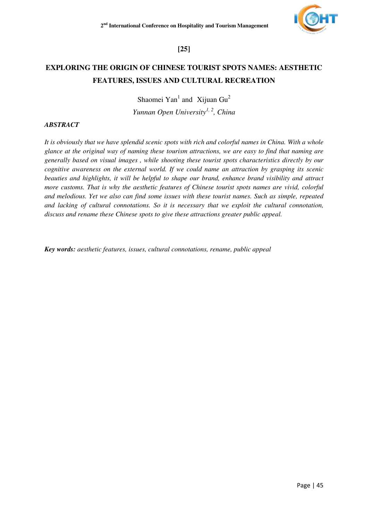

#### **[25]**

## **EXPLORING THE ORIGIN OF CHINESE TOURIST SPOTS NAMES: AESTHETIC FEATURES, ISSUES AND CULTURAL RECREATION**

Shaomei Yan<sup>1</sup> and Xijuan Gu<sup>2</sup> *Yunnan Open University1, 2, China* 

#### *ABSTRACT*

*It is obviously that we have splendid scenic spots with rich and colorful names in China. With a whole glance at the original way of naming these tourism attractions, we are easy to find that naming are generally based on visual images , while shooting these tourist spots characteristics directly by our cognitive awareness on the external world. If we could name an attraction by grasping its scenic beauties and highlights, it will be helpful to shape our brand, enhance brand visibility and attract more customs. That is why the aesthetic features of Chinese tourist spots names are vivid, colorful and melodious. Yet we also can find some issues with these tourist names. Such as simple, repeated and lacking of cultural connotations. So it is necessary that we exploit the cultural connotation, discuss and rename these Chinese spots to give these attractions greater public appeal.* 

*Key words: aesthetic features, issues, cultural connotations, rename, public appeal*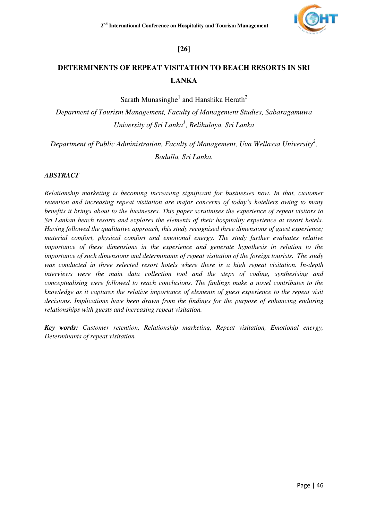

#### **[26]**

### **DETERMINENTS OF REPEAT VISITATION TO BEACH RESORTS IN SRI LANKA**

Sarath Munasinghe<sup>1</sup> and Hanshika Herath<sup>2</sup>

*Deparment of Tourism Management, Faculty of Management Studies, Sabaragamuwa University of Sri Lanka<sup>1</sup> , Belihuloya, Sri Lanka* 

*Department of Public Administration, Faculty of Management, Uva Wellassa University<sup>2</sup> , Badulla, Sri Lanka.* 

#### *ABSTRACT*

*Relationship marketing is becoming increasing significant for businesses now. In that, customer retention and increasing repeat visitation are major concerns of today"s hoteliers owing to many benefits it brings about to the businesses. This paper scrutinises the experience of repeat visitors to Sri Lankan beach resorts and explores the elements of their hospitality experience at resort hotels. Having followed the qualitative approach, this study recognised three dimensions of guest experience; material comfort, physical comfort and emotional energy. The study further evaluates relative importance of these dimensions in the experience and generate hypothesis in relation to the importance of such dimensions and determinants of repeat visitation of the foreign tourists. The study was conducted in three selected resort hotels where there is a high repeat visitation. In-depth interviews were the main data collection tool and the steps of coding, synthesising and conceptualising were followed to reach conclusions. The findings make a novel contributes to the knowledge as it captures the relative importance of elements of guest experience to the repeat visit decisions. Implications have been drawn from the findings for the purpose of enhancing enduring relationships with guests and increasing repeat visitation.* 

*Key words: Customer retention, Relationship marketing, Repeat visitation, Emotional energy, Determinants of repeat visitation.*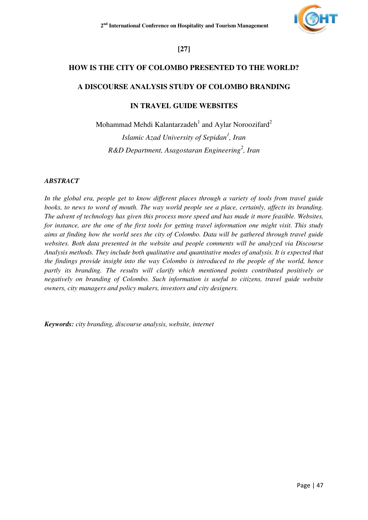

#### **[27]**

## **HOW IS THE CITY OF COLOMBO PRESENTED TO THE WORLD?**

#### **A DISCOURSE ANALYSIS STUDY OF COLOMBO BRANDING**

#### **IN TRAVEL GUIDE WEBSITES**

Mohammad Mehdi Kalantarzadeh $^{\rm l}$  and Aylar Noroozifard $^{\rm 2}$ *Islamic Azad University of Sepidan<sup>1</sup> , Iran R&D Department, Asagostaran Engineering<sup>2</sup> , Iran* 

#### *ABSTRACT*

*In the global era, people get to know different places through a variety of tools from travel guide books, to news to word of mouth. The way world people see a place, certainly, affects its branding. The advent of technology has given this process more speed and has made it more feasible. Websites, for instance, are the one of the first tools for getting travel information one might visit. This study aims at finding how the world sees the city of Colombo. Data will be gathered through travel guide websites. Both data presented in the website and people comments will be analyzed via Discourse Analysis methods. They include both qualitative and quantitative modes of analysis. It is expected that the findings provide insight into the way Colombo is introduced to the people of the world, hence partly its branding. The results will clarify which mentioned points contributed positively or negatively on branding of Colombo. Such information is useful to citizens, travel guide website owners, city managers and policy makers, investors and city designers.* 

*Keywords: city branding, discourse analysis, website, internet*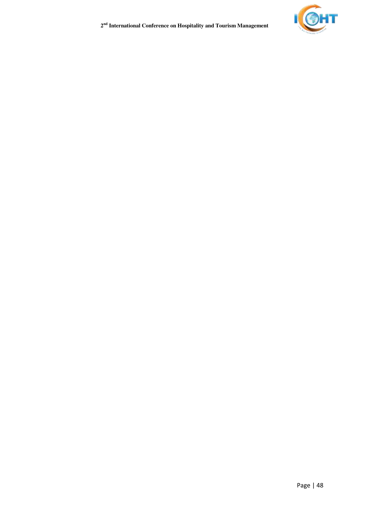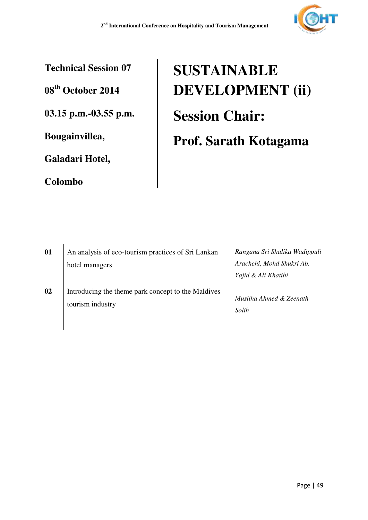

**Technical Session 07** 

**08th October 2014**

**03.15 p.m.-03.55 p.m.** 

**Bougainvillea,** 

**Galadari Hotel,** 

**Colombo** 

## **SUSTAINABLE DEVELOPMENT (ii) Session Chair: Prof. Sarath Kotagama**

| 01 | An analysis of eco-tourism practices of Sri Lankan<br>hotel managers   | Rangana Sri Shalika Wadippuli<br>Arachchi, Mohd Shukri Ab.<br>Yajid & Ali Khatibi |
|----|------------------------------------------------------------------------|-----------------------------------------------------------------------------------|
| 02 | Introducing the theme park concept to the Maldives<br>tourism industry | Musliha Ahmed & Zeenath<br>Solih                                                  |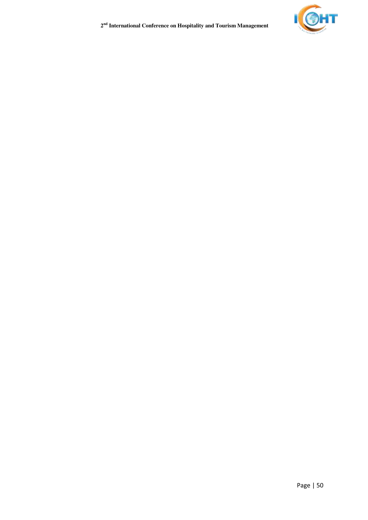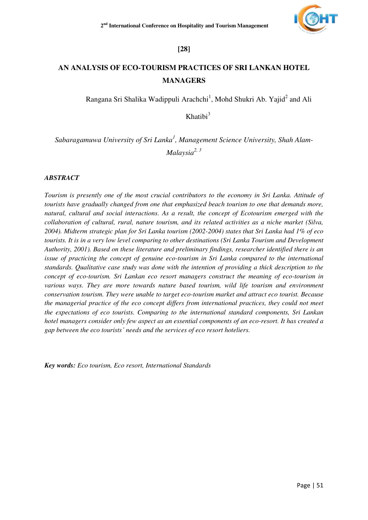

#### **[28]**

## **AN ANALYSIS OF ECO-TOURISM PRACTICES OF SRI LANKAN HOTEL MANAGERS**

Rangana Sri Shalika Wadippuli Arachchi<sup>1</sup>, Mohd Shukri Ab. Yajid<sup>2</sup> and Ali

 $Khatibi<sup>3</sup>$ 

*Sabaragamuwa University of Sri Lanka<sup>1</sup> , Management Science University, Shah Alam-Malaysia2, 3*

#### *ABSTRACT*

*Tourism is presently one of the most crucial contributors to the economy in Sri Lanka. Attitude of tourists have gradually changed from one that emphasized beach tourism to one that demands more, natural, cultural and social interactions. As a result, the concept of Ecotourism emerged with the collaboration of cultural, rural, nature tourism, and its related activities as a niche market (Silva, 2004). Midterm strategic plan for Sri Lanka tourism (2002-2004) states that Sri Lanka had 1% of eco tourists. It is in a very low level comparing to other destinations (Sri Lanka Tourism and Development Authority, 2001). Based on these literature and preliminary findings, researcher identified there is an issue of practicing the concept of genuine eco-tourism in Sri Lanka compared to the international standards. Qualitative case study was done with the intention of providing a thick description to the concept of eco-tourism. Sri Lankan eco resort managers construct the meaning of eco-tourism in various ways. They are more towards nature based tourism, wild life tourism and environment conservation tourism. They were unable to target eco-tourism market and attract eco tourist. Because the managerial practice of the eco concept differs from international practices, they could not meet the expectations of eco tourists. Comparing to the international standard components, Sri Lankan hotel managers consider only few aspect as an essential components of an eco-resort. It has created a gap between the eco tourists" needs and the services of eco resort hoteliers.* 

*Key words: Eco tourism, Eco resort, International Standards*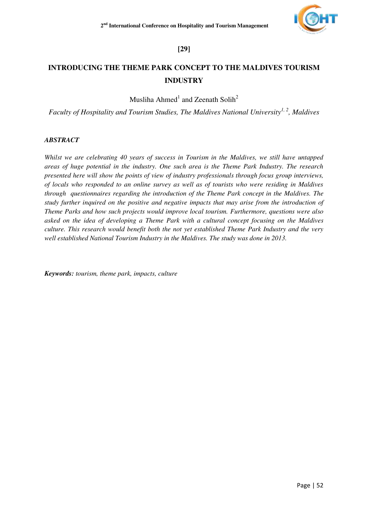

#### **[29]**

## **INTRODUCING THE THEME PARK CONCEPT TO THE MALDIVES TOURISM INDUSTRY**

Musliha Ahmed<sup>1</sup> and Zeenath Solih<sup>2</sup>

*Faculty of Hospitality and Tourism Studies, The Maldives National University1, 2, Maldives* 

#### *ABSTRACT*

*Whilst we are celebrating 40 years of success in Tourism in the Maldives, we still have untapped areas of huge potential in the industry. One such area is the Theme Park Industry. The research presented here will show the points of view of industry professionals through focus group interviews, of locals who responded to an online survey as well as of tourists who were residing in Maldives through questionnaires regarding the introduction of the Theme Park concept in the Maldives. The study further inquired on the positive and negative impacts that may arise from the introduction of Theme Parks and how such projects would improve local tourism. Furthermore, questions were also asked on the idea of developing a Theme Park with a cultural concept focusing on the Maldives culture. This research would benefit both the not yet established Theme Park Industry and the very well established National Tourism Industry in the Maldives. The study was done in 2013.* 

*Keywords: tourism, theme park, impacts, culture*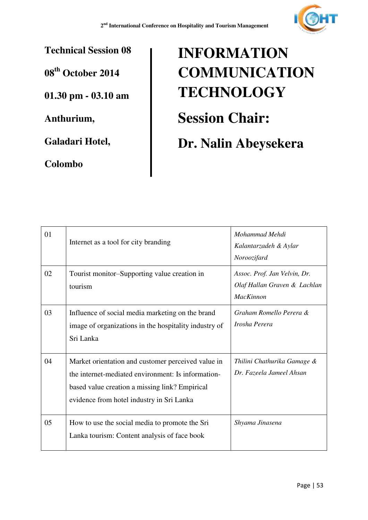

**Technical Session 08** 

**08th October 2014**

**01.30 pm - 03.10 am** 

**Anthurium,** 

**Galadari Hotel,** 

**Colombo** 

## **INFORMATION COMMUNICATION TECHNOLOGY Session Chair: Dr. Nalin Abeysekera**

| 01 | Internet as a tool for city branding                                                                                                                                                                    | Mohammad Mehdi<br>Kalantarzadeh & Aylar<br>Noroozifard                           |
|----|---------------------------------------------------------------------------------------------------------------------------------------------------------------------------------------------------------|----------------------------------------------------------------------------------|
| 02 | Tourist monitor-Supporting value creation in<br>tourism                                                                                                                                                 | Assoc. Prof. Jan Velvin, Dr.<br>Olaf Hallan Graven & Lachlan<br><b>MacKinnon</b> |
| 03 | Influence of social media marketing on the brand<br>image of organizations in the hospitality industry of<br>Sri Lanka                                                                                  | Graham Romello Perera &<br>Irosha Perera                                         |
| 04 | Market orientation and customer perceived value in<br>the internet-mediated environment: Is information-<br>based value creation a missing link? Empirical<br>evidence from hotel industry in Sri Lanka | Thilini Chathurika Gamage &<br>Dr. Fazeela Jameel Ahsan                          |
| 05 | How to use the social media to promote the Sri<br>Lanka tourism: Content analysis of face book                                                                                                          | Shyama Jinasena                                                                  |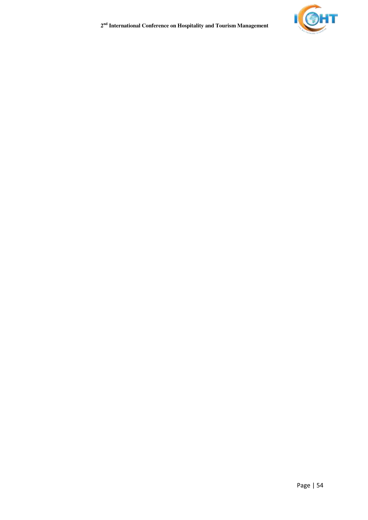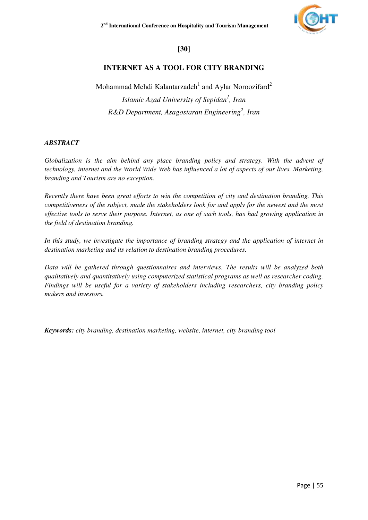

#### **[30]**

#### **INTERNET AS A TOOL FOR CITY BRANDING**

Mohammad Mehdi Kalantarzadeh $^{\rm l}$  and Aylar Noroozifard $^{\rm 2}$ *Islamic Azad University of Sepidan<sup>1</sup> , Iran R&D Department, Asagostaran Engineering<sup>2</sup> , Iran* 

#### *ABSTRACT*

*Globalization is the aim behind any place branding policy and strategy. With the advent of technology, internet and the World Wide Web has influenced a lot of aspects of our lives. Marketing, branding and Tourism are no exception.* 

*Recently there have been great efforts to win the competition of city and destination branding. This competitiveness of the subject, made the stakeholders look for and apply for the newest and the most effective tools to serve their purpose. Internet, as one of such tools, has had growing application in the field of destination branding.* 

*In this study, we investigate the importance of branding strategy and the application of internet in destination marketing and its relation to destination branding procedures.* 

*Data will be gathered through questionnaires and interviews. The results will be analyzed both qualitatively and quantitatively using computerized statistical programs as well as researcher coding. Findings will be useful for a variety of stakeholders including researchers, city branding policy makers and investors.* 

*Keywords: city branding, destination marketing, website, internet, city branding tool*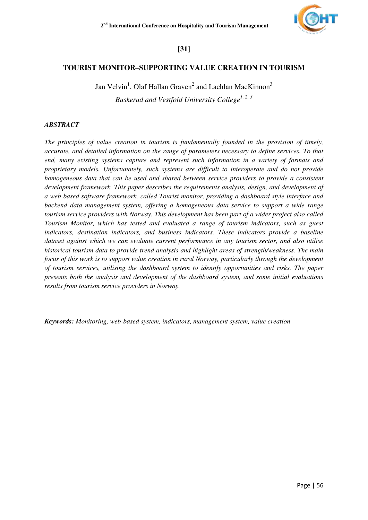

#### **[31]**

#### **TOURIST MONITOR–SUPPORTING VALUE CREATION IN TOURISM**

Jan Velvin<sup>1</sup>, Olaf Hallan Graven<sup>2</sup> and Lachlan MacKinnon<sup>3</sup> *Buskerud and Vestfold University College1, 2, 3*

#### *ABSTRACT*

*The principles of value creation in tourism is fundamentally founded in the provision of timely, accurate, and detailed information on the range of parameters necessary to define services. To that end, many existing systems capture and represent such information in a variety of formats and proprietary models. Unfortunately, such systems are difficult to interoperate and do not provide homogeneous data that can be used and shared between service providers to provide a consistent development framework. This paper describes the requirements analysis, design, and development of a web based software framework, called Tourist monitor, providing a dashboard style interface and backend data management system, offering a homogeneous data service to support a wide range tourism service providers with Norway. This development has been part of a wider project also called Tourism Monitor, which has tested and evaluated a range of tourism indicators, such as guest indicators, destination indicators, and business indicators. These indicators provide a baseline dataset against which we can evaluate current performance in any tourism sector, and also utilise historical tourism data to provide trend analysis and highlight areas of strength/weakness. The main focus of this work is to support value creation in rural Norway, particularly through the development of tourism services, utilising the dashboard system to identify opportunities and risks. The paper presents both the analysis and development of the dashboard system, and some initial evaluations results from tourism service providers in Norway.* 

*Keywords: Monitoring, web-based system, indicators, management system, value creation*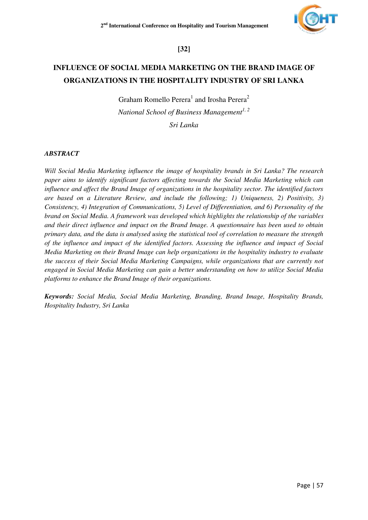

#### **[32]**

## **INFLUENCE OF SOCIAL MEDIA MARKETING ON THE BRAND IMAGE OF ORGANIZATIONS IN THE HOSPITALITY INDUSTRY OF SRI LANKA**

Graham Romello Perera $^1$  and Irosha Perera $^2$ *National School of Business Management1, 2 Sri Lanka* 

#### *ABSTRACT*

*Will Social Media Marketing influence the image of hospitality brands in Sri Lanka? The research paper aims to identify significant factors affecting towards the Social Media Marketing which can influence and affect the Brand Image of organizations in the hospitality sector. The identified factors are based on a Literature Review, and include the following; 1) Uniqueness, 2) Positivity, 3) Consistency, 4) Integration of Communications, 5) Level of Differentiation, and 6) Personality of the brand on Social Media. A framework was developed which highlights the relationship of the variables and their direct influence and impact on the Brand Image. A questionnaire has been used to obtain primary data, and the data is analysed using the statistical tool of correlation to measure the strength of the influence and impact of the identified factors. Assessing the influence and impact of Social Media Marketing on their Brand Image can help organizations in the hospitality industry to evaluate the success of their Social Media Marketing Campaigns, while organizations that are currently not engaged in Social Media Marketing can gain a better understanding on how to utilize Social Media platforms to enhance the Brand Image of their organizations.* 

*Keywords: Social Media, Social Media Marketing, Branding, Brand Image, Hospitality Brands, Hospitality Industry, Sri Lanka*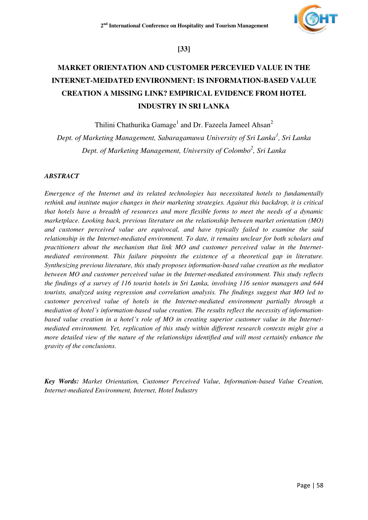

**[33]** 

## **MARKET ORIENTATION AND CUSTOMER PERCEVIED VALUE IN THE INTERNET-MEIDATED ENVIRONMENT: IS INFORMATION-BASED VALUE CREATION A MISSING LINK? EMPIRICAL EVIDENCE FROM HOTEL INDUSTRY IN SRI LANKA**

Thilini Chathurika Gamage<sup>1</sup> and Dr. Fazeela Jameel Ahsan<sup>2</sup>

*Dept. of Marketing Management, Sabaragamuwa University of Sri Lanka<sup>1</sup> , Sri Lanka Dept. of Marketing Management, University of Colombo<sup>2</sup> , Sri Lanka* 

#### *ABSTRACT*

*Emergence of the Internet and its related technologies has necessitated hotels to fundamentally rethink and institute major changes in their marketing strategies. Against this backdrop, it is critical that hotels have a breadth of resources and more flexible forms to meet the needs of a dynamic marketplace. Looking back, previous literature on the relationship between market orientation (MO) and customer perceived value are equivocal, and have typically failed to examine the said relationship in the Internet-mediated environment. To date, it remains unclear for both scholars and practitioners about the mechanism that link MO and customer perceived value in the Internetmediated environment. This failure pinpoints the existence of a theoretical gap in literature. Synthesizing previous literature, this study proposes information-based value creation as the mediator between MO and customer perceived value in the Internet-mediated environment. This study reflects the findings of a survey of 116 tourist hotels in Sri Lanka, involving 116 senior managers and 644 tourists, analyzed using regression and correlation analysis. The findings suggest that MO led to customer perceived value of hotels in the Internet-mediated environment partially through a mediation of hotel"s information-based value creation. The results reflect the necessity of informationbased value creation in a hotel"s role of MO in creating superior customer value in the Internetmediated environment. Yet, replication of this study within different research contexts might give a more detailed view of the nature of the relationships identified and will most certainly enhance the gravity of the conclusions.* 

*Key Words: Market Orientation, Customer Perceived Value, Information-based Value Creation, Internet-mediated Environment, Internet, Hotel Industry*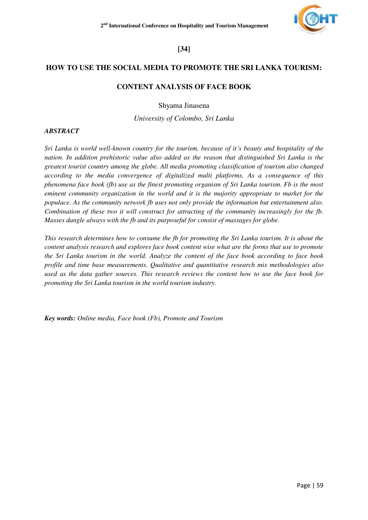

#### **[34]**

### **HOW TO USE THE SOCIAL MEDIA TO PROMOTE THE SRI LANKA TOURISM:**

#### **CONTENT ANALYSIS OF FACE BOOK**

Shyama Jinasena

*University of Colombo, Sri Lanka* 

#### *ABSTRACT*

*Sri Lanka is world well-known country for the tourism, because of it"s beauty and hospitality of the nation. In addition prehistoric value also added as the reason that distinguished Sri Lanka is the greatest tourist country among the globe. All media promoting classification of tourism also changed according to the media convergence of digitalized multi platforms. As a consequence of this phenomena face book (fb) use as the finest promoting organism of Sri Lanka tourism. Fb is the most eminent community organization in the world and it is the majority appropriate to market for the populace. As the community network fb uses not only provide the information but entertainment also. Combination of these two it will construct for attracting of the community increasingly for the fb. Masses dangle always with the fb and its purposeful for consist of massages for globe.* 

*This research determines how to consume the fb for promoting the Sri Lanka tourism. It is about the content analysis research and explores face book content wise what are the forms that use to promote the Sri Lanka tourism in the world. Analyze the content of the face book according to face book profile and time base measurements. Qualitative and quantitative research mix methodologies also used as the data gather sources. This research reviews the content how to use the face book for promoting the Sri Lanka tourism in the world tourism industry.* 

*Key words: Online media, Face book (Fb), Promote and Tourism*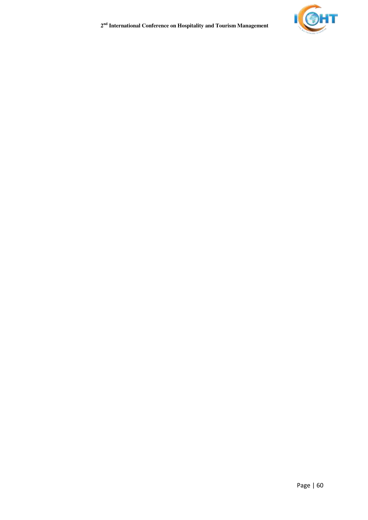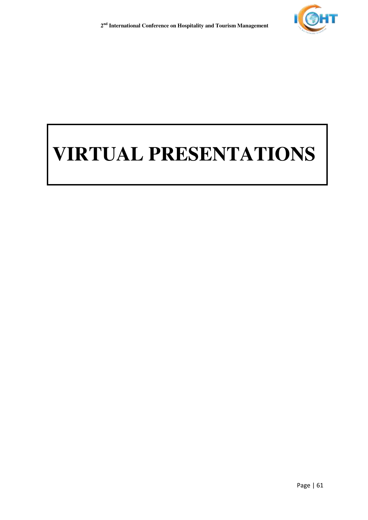# **VIRTUAL PRESENTATIONS**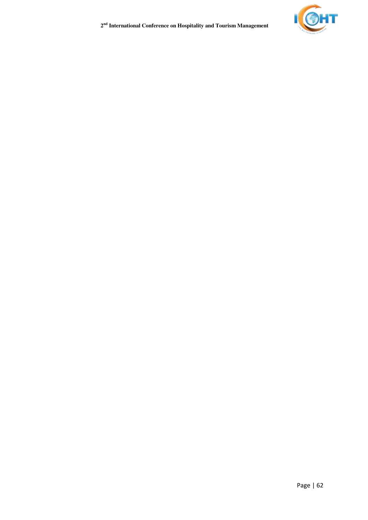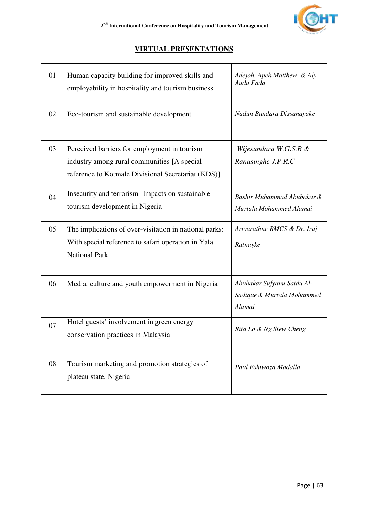# **VIRTUAL PRESENTATIONS**

| 01 | Human capacity building for improved skills and<br>employability in hospitality and tourism business                                               | Adejoh, Apeh Matthew & Aly,<br>Audu Fada                           |
|----|----------------------------------------------------------------------------------------------------------------------------------------------------|--------------------------------------------------------------------|
| 02 | Eco-tourism and sustainable development                                                                                                            | Nadun Bandara Dissanayake                                          |
| 03 | Perceived barriers for employment in tourism<br>industry among rural communities [A special]<br>reference to Kotmale Divisional Secretariat (KDS)] | Wijesundara W.G.S.R &<br>Ranasinghe J.P.R.C                        |
| 04 | Insecurity and terrorism- Impacts on sustainable<br>tourism development in Nigeria                                                                 | Bashir Muhammad Abubakar &<br>Murtala Mohammed Alamai              |
| 05 | The implications of over-visitation in national parks:<br>With special reference to safari operation in Yala<br><b>National Park</b>               | Ariyarathne RMCS & Dr. Iraj<br>Ratnayke                            |
| 06 | Media, culture and youth empowerment in Nigeria                                                                                                    | Abubakar Sufyanu Saidu Al-<br>Sadique & Murtala Mohammed<br>Alamai |
| 07 | Hotel guests' involvement in green energy<br>conservation practices in Malaysia                                                                    | Rita Lo & Ng Siew Cheng                                            |
| 08 | Tourism marketing and promotion strategies of<br>plateau state, Nigeria                                                                            | Paul Eshiwoza Madalla                                              |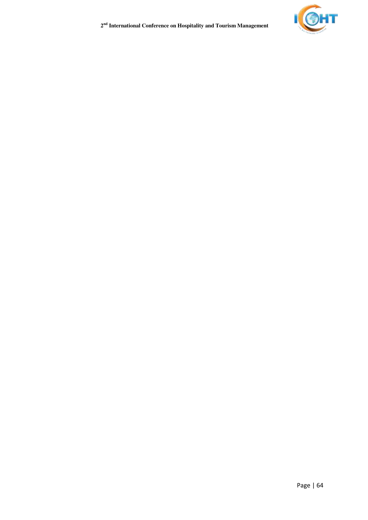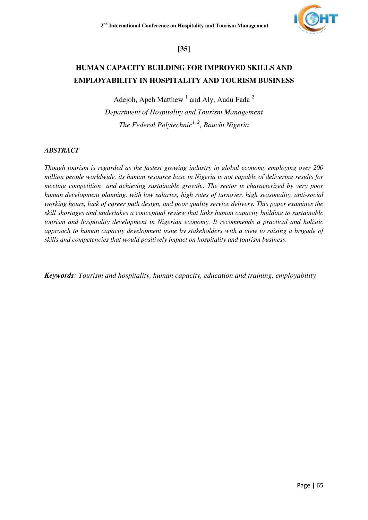

## **[35]**

# **HUMAN CAPACITY BUILDING FOR IMPROVED SKILLS AND EMPLOYABILITY IN HOSPITALITY AND TOURISM BUSINESS**

Adejoh, Apeh Matthew  $<sup>1</sup>$  and Aly, Audu Fada<sup>2</sup></sup>

*Department of Hospitality and Tourism Management The Federal Polytechnic1, 2, Bauchi Nigeria* 

### *ABSTRACT*

*Though tourism is regarded as the fastest growing industry in global economy employing over 200 million people worldwide, its human resource base in Nigeria is not capable of delivering results for meeting competition and achieving sustainable growth.. The sector is characterized by very poor human development planning, with low salaries, high rates of turnover, high seasonality, anti-social working hours, lack of career path design, and poor quality service delivery. This paper examines the skill shortages and undertakes a conceptual review that links human capacity building to sustainable tourism and hospitality development in Nigerian economy. It recommends a practical and holistic approach to human capacity development issue by stakeholders with a view to raising a brigade of skills and competencies that would positively impact on hospitality and tourism business.* 

*Keywords: Tourism and hospitality, human capacity, education and training, employability*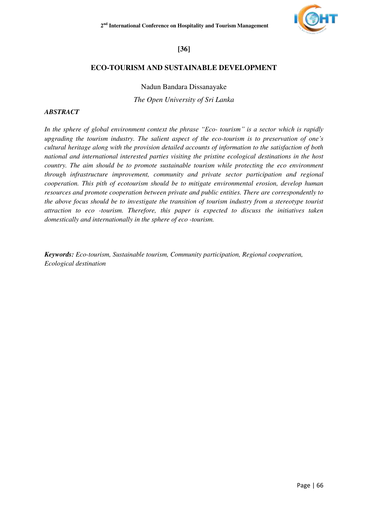

## **[36]**

### **ECO-TOURISM AND SUSTAINABLE DEVELOPMENT**

Nadun Bandara Dissanayake

*The Open University of Sri Lanka* 

#### *ABSTRACT*

*In the sphere of global environment context the phrase "Eco- tourism" is a sector which is rapidly upgrading the tourism industry. The salient aspect of the eco-tourism is to preservation of one"s cultural heritage along with the provision detailed accounts of information to the satisfaction of both national and international interested parties visiting the pristine ecological destinations in the host country. The aim should be to promote sustainable tourism while protecting the eco environment through infrastructure improvement, community and private sector participation and regional cooperation. This pith of ecotourism should be to mitigate environmental erosion, develop human resources and promote cooperation between private and public entities. There are correspondently to the above focus should be to investigate the transition of tourism industry from a stereotype tourist attraction to eco -tourism. Therefore, this paper is expected to discuss the initiatives taken domestically and internationally in the sphere of eco -tourism.* 

*Keywords: Eco-tourism, Sustainable tourism, Community participation, Regional cooperation, Ecological destination*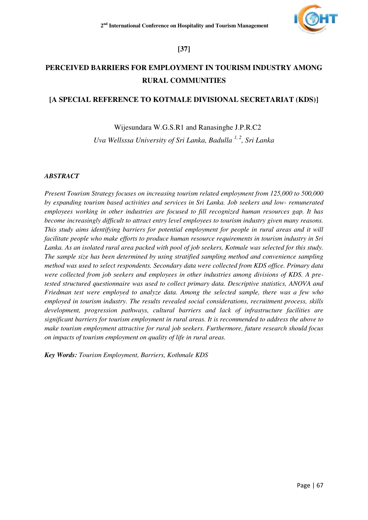

## **[37]**

# **PERCEIVED BARRIERS FOR EMPLOYMENT IN TOURISM INDUSTRY AMONG RURAL COMMUNITIES**

## **[A SPECIAL REFERENCE TO KOTMALE DIVISIONAL SECRETARIAT (KDS)]**

Wijesundara W.G.S.R1 and Ranasinghe J.P.R.C2

*Uva Wellsssa University of Sri Lanka, Badulla 1, 2, Sri Lanka* 

### *ABSTRACT*

*Present Tourism Strategy focuses on increasing tourism related employment from 125,000 to 500,000 by expanding tourism based activities and services in Sri Lanka. Job seekers and low- remunerated employees working in other industries are focused to fill recognized human resources gap. It has become increasingly difficult to attract entry level employees to tourism industry given many reasons. This study aims identifying barriers for potential employment for people in rural areas and it will facilitate people who make efforts to produce human resource requirements in tourism industry in Sri Lanka. As an isolated rural area packed with pool of job seekers, Kotmale was selected for this study. The sample size has been determined by using stratified sampling method and convenience sampling method was used to select respondents. Secondary data were collected from KDS office. Primary data were collected from job seekers and employees in other industries among divisions of KDS. A pretested structured questionnaire was used to collect primary data. Descriptive statistics, ANOVA and Friedman test were employed to analyze data. Among the selected sample, there was a few who employed in tourism industry. The results revealed social considerations, recruitment process, skills development, progression pathways, cultural barriers and lack of infrastructure facilities are significant barriers for tourism employment in rural areas. It is recommended to address the above to make tourism employment attractive for rural job seekers. Furthermore, future research should focus on impacts of tourism employment on quality of life in rural areas.* 

*Key Words: Tourism Employment, Barriers, Kothmale KDS*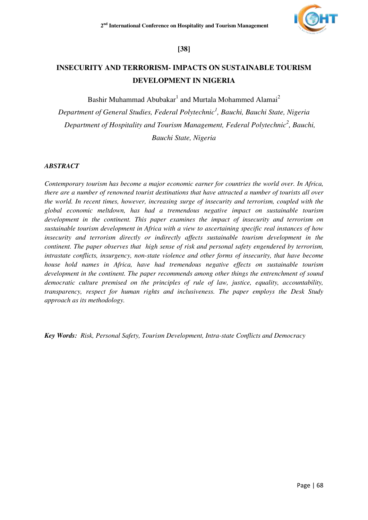

### **[38]**

# **INSECURITY AND TERRORISM- IMPACTS ON SUSTAINABLE TOURISM DEVELOPMENT IN NIGERIA**

Bashir Muhammad Abubakar $^1$  and Murtala Mohammed Alamai<sup>2</sup>

*Department of General Studies, Federal Polytechnic<sup>1</sup> , Bauchi, Bauchi State, Nigeria Department of Hospitality and Tourism Management, Federal Polytechnic<sup>2</sup> , Bauchi, Bauchi State, Nigeria* 

### *ABSTRACT*

*Contemporary tourism has become a major economic earner for countries the world over. In Africa, there are a number of renowned tourist destinations that have attracted a number of tourists all over the world. In recent times, however, increasing surge of insecurity and terrorism, coupled with the global economic meltdown, has had a tremendous negative impact on sustainable tourism development in the continent. This paper examines the impact of insecurity and terrorism on sustainable tourism development in Africa with a view to ascertaining specific real instances of how insecurity and terrorism directly or indirectly affects sustainable tourism development in the continent. The paper observes that high sense of risk and personal safety engendered by terrorism, intrastate conflicts, insurgency, non-state violence and other forms of insecurity, that have become house hold names in Africa, have had tremendous negative effects on sustainable tourism development in the continent. The paper recommends among other things the entrenchment of sound democratic culture premised on the principles of rule of law, justice, equality, accountability, transparency, respect for human rights and inclusiveness. The paper employs the Desk Study approach as its methodology.* 

*Key Words: Risk, Personal Safety, Tourism Development, Intra-state Conflicts and Democracy*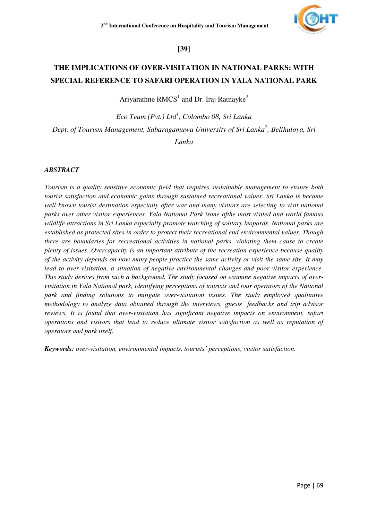

### **[39]**

# **THE IMPLICATIONS OF OVER-VISITATION IN NATIONAL PARKS: WITH SPECIAL REFERENCE TO SAFARI OPERATION IN YALA NATIONAL PARK**

Ariyarathne RMCS<sup>1</sup> and Dr. Iraj Ratnayke<sup>2</sup>

*Eco Team (Pvt.) Ltd<sup>1</sup> , Colombo 08, Sri Lanka Dept. of Tourism Management, Sabaragamuwa University of Sri Lanka<sup>2</sup> , Belihuloya, Sri Lanka* 

### *ABSTRACT*

*Tourism is a quality sensitive economic field that requires sustainable management to ensure both tourist satisfaction and economic gains through sustained recreational values. Sri Lanka is became well known tourist destination especially after war and many visitors are selecting to visit national parks over other visitor experiences. Yala National Park isone ofthe most visited and world famous wildlife attractions in Sri Lanka especially promote watching of solitary leopards. National parks are established as protected sites in order to protect their recreational end environmental values. Though there are boundaries for recreational activities in national parks, violating them cause to create plenty of issues. Overcapacity is an important attribute of the recreation experience because quality of the activity depends on how many people practice the same activity or visit the same site. It may lead to over-visitation, a situation of negative environmental changes and poor visitor experience. This study derives from such a background. The study focused on examine negative impacts of overvisitation in Yala National park, identifying perceptions of tourists and tour operators of the National park and finding solutions to mitigate over-visitation issues. The study employed qualitative methodology to analyze data obtained through the interviews, guests" feedbacks and trip advisor reviews. It is found that over-visitation has significant negative impacts on environment, safari operations and visitors that lead to reduce ultimate visitor satisfaction as well as reputation of operators and park itself.* 

*Keywords: over-visitation, environmental impacts, tourists" perceptions, visitor satisfaction.*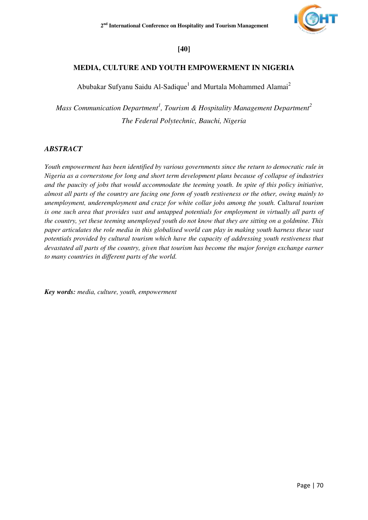

## **[40]**

## **MEDIA, CULTURE AND YOUTH EMPOWERMENT IN NIGERIA**

Abubakar Sufyanu Saidu Al-Sadique<sup>1</sup> and Murtala Mohammed Alamai<sup>2</sup>

*Mass Communication Department<sup>1</sup> , Tourism & Hospitality Management Department<sup>2</sup> The Federal Polytechnic, Bauchi, Nigeria* 

## *ABSTRACT*

*Youth empowerment has been identified by various governments since the return to democratic rule in Nigeria as a cornerstone for long and short term development plans because of collapse of industries and the paucity of jobs that would accommodate the teeming youth. In spite of this policy initiative, almost all parts of the country are facing one form of youth restiveness or the other, owing mainly to unemployment, underemployment and craze for white collar jobs among the youth. Cultural tourism is one such area that provides vast and untapped potentials for employment in virtually all parts of the country, yet these teeming unemployed youth do not know that they are sitting on a goldmine. This paper articulates the role media in this globalised world can play in making youth harness these vast potentials provided by cultural tourism which have the capacity of addressing youth restiveness that devastated all parts of the country, given that tourism has become the major foreign exchange earner to many countries in different parts of the world.* 

*Key words: media, culture, youth, empowerment*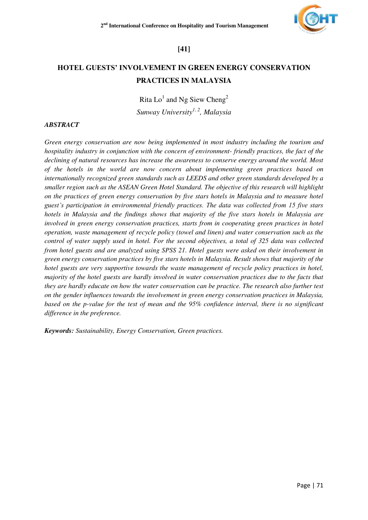

### **[41]**

# **HOTEL GUESTS' INVOLVEMENT IN GREEN ENERGY CONSERVATION PRACTICES IN MALAYSIA**

Rita  $Lo<sup>1</sup>$  and Ng Siew Cheng<sup>2</sup> *Sunway University1, 2, Malaysia* 

#### *ABSTRACT*

*Green energy conservation are now being implemented in most industry including the tourism and hospitality industry in conjunction with the concern of environment- friendly practices, the fact of the declining of natural resources has increase the awareness to conserve energy around the world. Most of the hotels in the world are now concern about implementing green practices based on internationally recognized green standards such as LEEDS and other green standards developed by a smaller region such as the ASEAN Green Hotel Standard. The objective of this research will highlight on the practices of green energy conservation by five stars hotels in Malaysia and to measure hotel guest"s participation in environmental friendly practices. The data was collected from 15 five stars hotels in Malaysia and the findings shows that majority of the five stars hotels in Malaysia are involved in green energy conservation practices, starts from in cooperating green practices in hotel operation, waste management of recycle policy (towel and linen) and water conservation such as the control of water supply used in hotel. For the second objectives, a total of 325 data was collected from hotel guests and are analyzed using SPSS 21. Hotel guests were asked on their involvement in green energy conservation practices by five stars hotels in Malaysia. Result shows that majority of the hotel guests are very supportive towards the waste management of recycle policy practices in hotel, majority of the hotel guests are hardly involved in water conservation practices due to the facts that they are hardly educate on how the water conservation can be practice. The research also further test on the gender influences towards the involvement in green energy conservation practices in Malaysia, based on the p-value for the test of mean and the 95% confidence interval, there is no significant difference in the preference.* 

*Keywords: Sustainability, Energy Conservation, Green practices.*